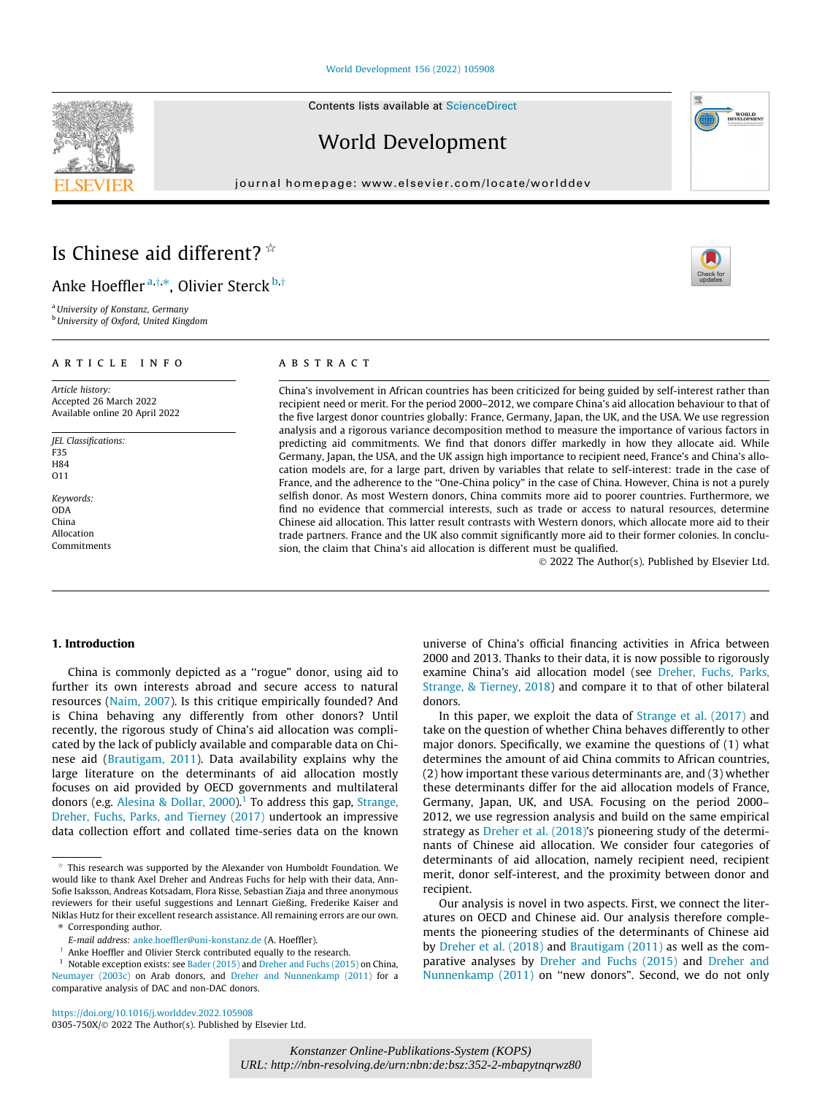#### [World Development 156 \(2022\) 105908](https://doi.org/10.1016/j.worlddev.2022.105908)

Contents lists available at [ScienceDirect](http://www.sciencedirect.com/science/journal/0305750X)

# World Development

journal homepage: [www.elsevier.com/locate/worlddev](http://www.elsevier.com/locate/worlddev)

# Is Chinese aid different?  $\dot{\alpha}$

Anke Hoeffler<sup>a,†,\*</sup>, Olivier Sterck <sup>b,†</sup>

<sup>a</sup> University of Konstanz, Germany **b** University of Oxford, United Kingdom

# article info

Article history: Accepted 26 March 2022 Available online 20 April 2022

JEL Classifications: F35 H84 O11

Keywords: ODA China Allocation Commitments

# **ABSTRACT**

China's involvement in African countries has been criticized for being guided by self-interest rather than recipient need or merit. For the period 2000–2012, we compare China's aid allocation behaviour to that of the five largest donor countries globally: France, Germany, Japan, the UK, and the USA. We use regression analysis and a rigorous variance decomposition method to measure the importance of various factors in predicting aid commitments. We find that donors differ markedly in how they allocate aid. While Germany, Japan, the USA, and the UK assign high importance to recipient need, France's and China's allocation models are, for a large part, driven by variables that relate to self-interest: trade in the case of France, and the adherence to the ''One-China policy" in the case of China. However, China is not a purely selfish donor. As most Western donors, China commits more aid to poorer countries. Furthermore, we find no evidence that commercial interests, such as trade or access to natural resources, determine Chinese aid allocation. This latter result contrasts with Western donors, which allocate more aid to their trade partners. France and the UK also commit significantly more aid to their former colonies. In conclusion, the claim that China's aid allocation is different must be qualified.

2022 The Author(s). Published by Elsevier Ltd.

# 1. Introduction

China is commonly depicted as a ''rogue" donor, using aid to further its own interests abroad and secure access to natural resources [\(Naim, 2007](#page-15-0)). Is this critique empirically founded? And is China behaving any differently from other donors? Until recently, the rigorous study of China's aid allocation was complicated by the lack of publicly available and comparable data on Chinese aid [\(Brautigam, 2011](#page-14-0)). Data availability explains why the large literature on the determinants of aid allocation mostly focuses on aid provided by OECD governments and multilateral donors (e.g. [Alesina & Dollar, 2000](#page-14-0)).<sup>1</sup> To address this gap, [Strange,](#page-15-0) [Dreher, Fuchs, Parks, and Tierney \(2017\)](#page-15-0) undertook an impressive data collection effort and collated time-series data on the known

<https://doi.org/10.1016/j.worlddev.2022.105908> 0305-750X/© 2022 The Author(s). Published by Elsevier Ltd. universe of China's official financing activities in Africa between 2000 and 2013. Thanks to their data, it is now possible to rigorously examine China's aid allocation model (see [Dreher, Fuchs, Parks,](#page-14-0) [Strange, & Tierney, 2018](#page-14-0)) and compare it to that of other bilateral donors.

In this paper, we exploit the data of [Strange et al. \(2017\)](#page-15-0) and take on the question of whether China behaves differently to other major donors. Specifically, we examine the questions of (1) what determines the amount of aid China commits to African countries, (2) how important these various determinants are, and (3) whether these determinants differ for the aid allocation models of France, Germany, Japan, UK, and USA. Focusing on the period 2000– 2012, we use regression analysis and build on the same empirical strategy as [Dreher et al. \(2018\)'](#page-14-0)s pioneering study of the determinants of Chinese aid allocation. We consider four categories of determinants of aid allocation, namely recipient need, recipient merit, donor self-interest, and the proximity between donor and recipient.

Our analysis is novel in two aspects. First, we connect the literatures on OECD and Chinese aid. Our analysis therefore complements the pioneering studies of the determinants of Chinese aid by [Dreher et al. \(2018\)](#page-14-0) and [Brautigam \(2011\)](#page-14-0) as well as the comparative analyses by [Dreher and Fuchs \(2015\)](#page-14-0) and [Dreher and](#page-14-0) [Nunnenkamp \(2011\)](#page-14-0) on ''new donors". Second, we do not only





 $*$  This research was supported by the Alexander von Humboldt Foundation. We would like to thank Axel Dreher and Andreas Fuchs for help with their data, Ann-Sofie Isaksson, Andreas Kotsadam, Flora Risse, Sebastian Ziaja and three anonymous reviewers for their useful suggestions and Lennart Gießing, Frederike Kaiser and Niklas Hutz for their excellent research assistance. All remaining errors are our own. ⇑ Corresponding author.

E-mail address: [anke.hoeffler@uni-konstanz.de](mailto:anke.hoeffler@uni-konstanz.de) (A. Hoeffler).

 $\dagger$  Anke Hoeffler and Olivier Sterck contributed equally to the research.

<sup>&</sup>lt;sup>1</sup> Notable exception exists: see [Bader \(2015\)](#page-14-0) and [Dreher and Fuchs \(2015\)](#page-14-0) on China, [Neumayer \(2003c\)](#page-15-0) on Arab donors, and [Dreher and Nunnenkamp \(2011\)](#page-14-0) for a comparative analysis of DAC and non-DAC donors.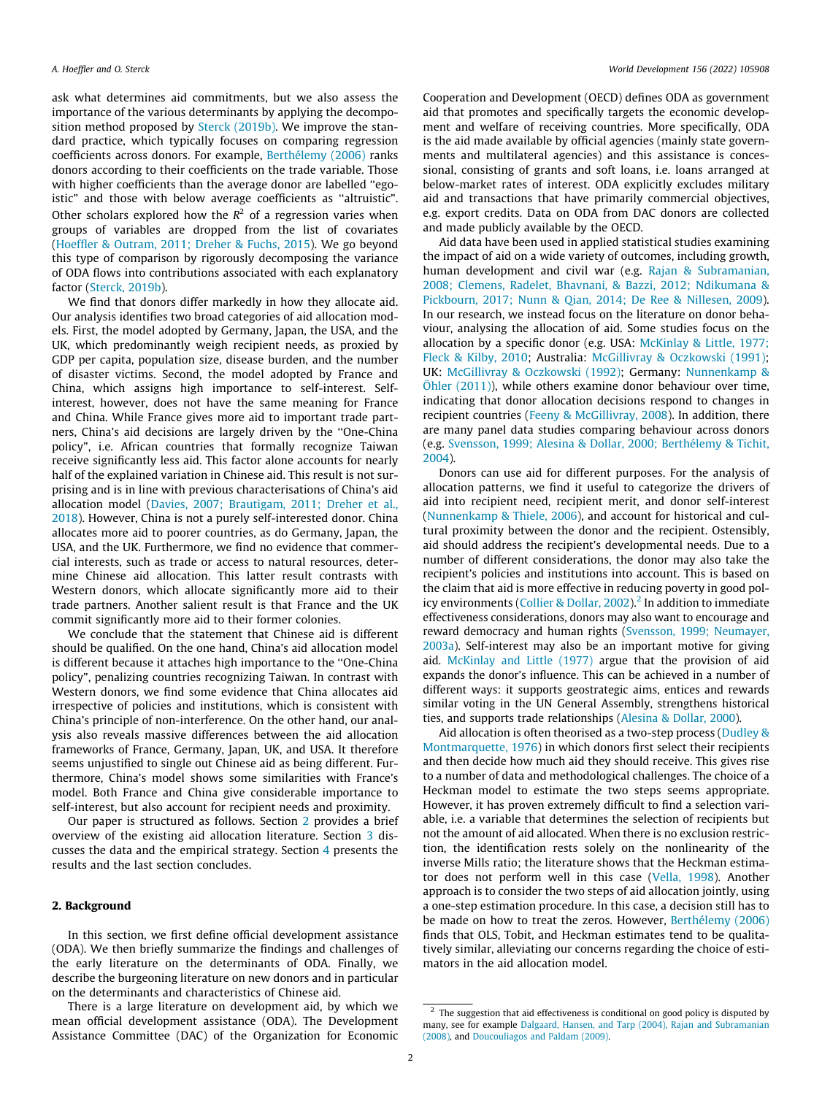ask what determines aid commitments, but we also assess the importance of the various determinants by applying the decompo-sition method proposed by [Sterck \(2019b\).](#page-15-0) We improve the standard practice, which typically focuses on comparing regression coefficients across donors. For example, [Berthélemy \(2006\)](#page-14-0) ranks donors according to their coefficients on the trade variable. Those with higher coefficients than the average donor are labelled ''egoistic" and those with below average coefficients as ''altruistic". Other scholars explored how the  $R^2$  of a regression varies when groups of variables are dropped from the list of covariates ([Hoeffler & Outram, 2011; Dreher & Fuchs, 2015\)](#page-15-0). We go beyond this type of comparison by rigorously decomposing the variance of ODA flows into contributions associated with each explanatory factor [\(Sterck, 2019b\)](#page-15-0).

We find that donors differ markedly in how they allocate aid. Our analysis identifies two broad categories of aid allocation models. First, the model adopted by Germany, Japan, the USA, and the UK, which predominantly weigh recipient needs, as proxied by GDP per capita, population size, disease burden, and the number of disaster victims. Second, the model adopted by France and China, which assigns high importance to self-interest. Selfinterest, however, does not have the same meaning for France and China. While France gives more aid to important trade partners, China's aid decisions are largely driven by the ''One-China policy", i.e. African countries that formally recognize Taiwan receive significantly less aid. This factor alone accounts for nearly half of the explained variation in Chinese aid. This result is not surprising and is in line with previous characterisations of China's aid allocation model [\(Davies, 2007; Brautigam, 2011; Dreher et al.,](#page-14-0) [2018\)](#page-14-0). However, China is not a purely self-interested donor. China allocates more aid to poorer countries, as do Germany, Japan, the USA, and the UK. Furthermore, we find no evidence that commercial interests, such as trade or access to natural resources, determine Chinese aid allocation. This latter result contrasts with Western donors, which allocate significantly more aid to their trade partners. Another salient result is that France and the UK commit significantly more aid to their former colonies.

We conclude that the statement that Chinese aid is different should be qualified. On the one hand, China's aid allocation model is different because it attaches high importance to the ''One-China policy", penalizing countries recognizing Taiwan. In contrast with Western donors, we find some evidence that China allocates aid irrespective of policies and institutions, which is consistent with China's principle of non-interference. On the other hand, our analysis also reveals massive differences between the aid allocation frameworks of France, Germany, Japan, UK, and USA. It therefore seems unjustified to single out Chinese aid as being different. Furthermore, China's model shows some similarities with France's model. Both France and China give considerable importance to self-interest, but also account for recipient needs and proximity.

Our paper is structured as follows. Section 2 provides a brief overview of the existing aid allocation literature. Section [3](#page-2-0) discusses the data and the empirical strategy. Section [4](#page-6-0) presents the results and the last section concludes.

## 2. Background

In this section, we first define official development assistance (ODA). We then briefly summarize the findings and challenges of the early literature on the determinants of ODA. Finally, we describe the burgeoning literature on new donors and in particular on the determinants and characteristics of Chinese aid.

There is a large literature on development aid, by which we mean official development assistance (ODA). The Development Assistance Committee (DAC) of the Organization for Economic

Cooperation and Development (OECD) defines ODA as government aid that promotes and specifically targets the economic development and welfare of receiving countries. More specifically, ODA is the aid made available by official agencies (mainly state governments and multilateral agencies) and this assistance is concessional, consisting of grants and soft loans, i.e. loans arranged at below-market rates of interest. ODA explicitly excludes military aid and transactions that have primarily commercial objectives, e.g. export credits. Data on ODA from DAC donors are collected and made publicly available by the OECD.

Aid data have been used in applied statistical studies examining the impact of aid on a wide variety of outcomes, including growth, human development and civil war (e.g. [Rajan & Subramanian,](#page-15-0) [2008; Clemens, Radelet, Bhavnani, & Bazzi, 2012; Ndikumana &](#page-15-0) [Pickbourn, 2017; Nunn & Qian, 2014; De Ree & Nillesen, 2009\)](#page-15-0). In our research, we instead focus on the literature on donor behaviour, analysing the allocation of aid. Some studies focus on the allocation by a specific donor (e.g. USA: [McKinlay & Little, 1977;](#page-15-0) [Fleck & Kilby, 2010](#page-15-0); Australia: [McGillivray & Oczkowski \(1991\);](#page-15-0) UK: [McGillivray & Oczkowski \(1992\);](#page-15-0) Germany: [Nunnenkamp &](#page-15-0) [Öhler \(2011\)\)](#page-15-0), while others examine donor behaviour over time, indicating that donor allocation decisions respond to changes in recipient countries ([Feeny & McGillivray, 2008\)](#page-15-0). In addition, there are many panel data studies comparing behaviour across donors (e.g. [Svensson, 1999; Alesina & Dollar, 2000; Berthélemy & Tichit,](#page-15-0) [2004](#page-15-0)).

Donors can use aid for different purposes. For the analysis of allocation patterns, we find it useful to categorize the drivers of aid into recipient need, recipient merit, and donor self-interest ([Nunnenkamp & Thiele, 2006](#page-15-0)), and account for historical and cultural proximity between the donor and the recipient. Ostensibly, aid should address the recipient's developmental needs. Due to a number of different considerations, the donor may also take the recipient's policies and institutions into account. This is based on the claim that aid is more effective in reducing poverty in good pol-icy environments ([Collier & Dollar, 2002](#page-14-0)).<sup>2</sup> In addition to immediate effectiveness considerations, donors may also want to encourage and reward democracy and human rights ([Svensson, 1999; Neumayer,](#page-15-0) [2003a](#page-15-0)). Self-interest may also be an important motive for giving aid. [McKinlay and Little \(1977\)](#page-15-0) argue that the provision of aid expands the donor's influence. This can be achieved in a number of different ways: it supports geostrategic aims, entices and rewards similar voting in the UN General Assembly, strengthens historical ties, and supports trade relationships [\(Alesina & Dollar, 2000\)](#page-14-0).

Aid allocation is often theorised as a two-step process [\(Dudley &](#page-14-0) [Montmarquette, 1976\)](#page-14-0) in which donors first select their recipients and then decide how much aid they should receive. This gives rise to a number of data and methodological challenges. The choice of a Heckman model to estimate the two steps seems appropriate. However, it has proven extremely difficult to find a selection variable, i.e. a variable that determines the selection of recipients but not the amount of aid allocated. When there is no exclusion restriction, the identification rests solely on the nonlinearity of the inverse Mills ratio; the literature shows that the Heckman estimator does not perform well in this case ([Vella, 1998](#page-15-0)). Another approach is to consider the two steps of aid allocation jointly, using a one-step estimation procedure. In this case, a decision still has to be made on how to treat the zeros. However, [Berthélemy \(2006\)](#page-14-0) finds that OLS, Tobit, and Heckman estimates tend to be qualitatively similar, alleviating our concerns regarding the choice of estimators in the aid allocation model.

 $2$  The suggestion that aid effectiveness is conditional on good policy is disputed by many, see for example [Dalgaard, Hansen, and Tarp \(2004\), Rajan and Subramanian](#page-14-0) [\(2008\)](#page-14-0), and [Doucouliagos and Paldam \(2009\)](#page-14-0).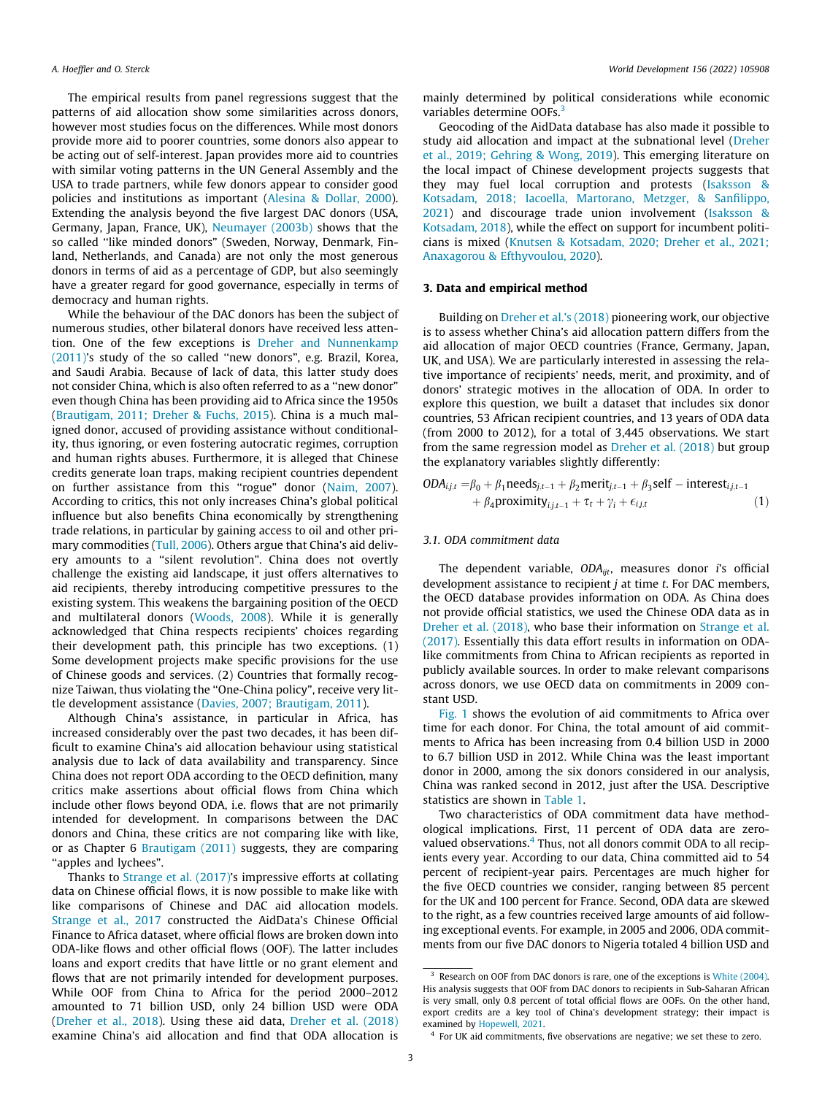<span id="page-2-0"></span>The empirical results from panel regressions suggest that the patterns of aid allocation show some similarities across donors, however most studies focus on the differences. While most donors provide more aid to poorer countries, some donors also appear to be acting out of self-interest. Japan provides more aid to countries with similar voting patterns in the UN General Assembly and the USA to trade partners, while few donors appear to consider good policies and institutions as important [\(Alesina & Dollar, 2000\)](#page-14-0). Extending the analysis beyond the five largest DAC donors (USA, Germany, Japan, France, UK), [Neumayer \(2003b\)](#page-15-0) shows that the so called "like minded donors" (Sweden, Norway, Denmark, Finland, Netherlands, and Canada) are not only the most generous donors in terms of aid as a percentage of GDP, but also seemingly have a greater regard for good governance, especially in terms of democracy and human rights.

While the behaviour of the DAC donors has been the subject of numerous studies, other bilateral donors have received less attention. One of the few exceptions is [Dreher and Nunnenkamp](#page-14-0) [\(2011\)'](#page-14-0)s study of the so called ''new donors", e.g. Brazil, Korea, and Saudi Arabia. Because of lack of data, this latter study does not consider China, which is also often referred to as a ''new donor" even though China has been providing aid to Africa since the 1950s ([Brautigam, 2011; Dreher & Fuchs, 2015](#page-14-0)). China is a much maligned donor, accused of providing assistance without conditionality, thus ignoring, or even fostering autocratic regimes, corruption and human rights abuses. Furthermore, it is alleged that Chinese credits generate loan traps, making recipient countries dependent on further assistance from this "rogue" donor [\(Naim, 2007\)](#page-15-0). According to critics, this not only increases China's global political influence but also benefits China economically by strengthening trade relations, in particular by gaining access to oil and other primary commodities [\(Tull, 2006](#page-15-0)). Others argue that China's aid delivery amounts to a ''silent revolution". China does not overtly challenge the existing aid landscape, it just offers alternatives to aid recipients, thereby introducing competitive pressures to the existing system. This weakens the bargaining position of the OECD and multilateral donors [\(Woods, 2008](#page-15-0)). While it is generally acknowledged that China respects recipients' choices regarding their development path, this principle has two exceptions. (1) Some development projects make specific provisions for the use of Chinese goods and services. (2) Countries that formally recognize Taiwan, thus violating the ''One-China policy", receive very little development assistance [\(Davies, 2007; Brautigam, 2011\)](#page-14-0).

Although China's assistance, in particular in Africa, has increased considerably over the past two decades, it has been difficult to examine China's aid allocation behaviour using statistical analysis due to lack of data availability and transparency. Since China does not report ODA according to the OECD definition, many critics make assertions about official flows from China which include other flows beyond ODA, i.e. flows that are not primarily intended for development. In comparisons between the DAC donors and China, these critics are not comparing like with like, or as Chapter 6 [Brautigam \(2011\)](#page-14-0) suggests, they are comparing ''apples and lychees".

Thanks to [Strange et al. \(2017\)](#page-15-0)'s impressive efforts at collating data on Chinese official flows, it is now possible to make like with like comparisons of Chinese and DAC aid allocation models. [Strange et al., 2017](#page-15-0) constructed the AidData's Chinese Official Finance to Africa dataset, where official flows are broken down into ODA-like flows and other official flows (OOF). The latter includes loans and export credits that have little or no grant element and flows that are not primarily intended for development purposes. While OOF from China to Africa for the period 2000–2012 amounted to 71 billion USD, only 24 billion USD were ODA ([Dreher et al., 2018\)](#page-14-0). Using these aid data, [Dreher et al. \(2018\)](#page-14-0) examine China's aid allocation and find that ODA allocation is

mainly determined by political considerations while economic variables determine OOFs.<sup>3</sup>

Geocoding of the AidData database has also made it possible to study aid allocation and impact at the subnational level ([Dreher](#page-14-0) [et al., 2019; Gehring & Wong, 2019](#page-14-0)). This emerging literature on the local impact of Chinese development projects suggests that they may fuel local corruption and protests ([Isaksson &](#page-15-0) [Kotsadam, 2018; Iacoella, Martorano, Metzger, & Sanfilippo,](#page-15-0) [2021\)](#page-15-0) and discourage trade union involvement ([Isaksson &](#page-15-0) [Kotsadam, 2018](#page-15-0)), while the effect on support for incumbent politicians is mixed [\(Knutsen & Kotsadam, 2020; Dreher et al., 2021;](#page-15-0) [Anaxagorou & Efthyvoulou, 2020\)](#page-15-0).

#### 3. Data and empirical method

Building on [Dreher et al.'s \(2018\)](#page-14-0) pioneering work, our objective is to assess whether China's aid allocation pattern differs from the aid allocation of major OECD countries (France, Germany, Japan, UK, and USA). We are particularly interested in assessing the relative importance of recipients' needs, merit, and proximity, and of donors' strategic motives in the allocation of ODA. In order to explore this question, we built a dataset that includes six donor countries, 53 African recipient countries, and 13 years of ODA data (from 2000 to 2012), for a total of 3,445 observations. We start from the same regression model as [Dreher et al. \(2018\)](#page-14-0) but group the explanatory variables slightly differently:

$$
ODA_{i,j,t} = \beta_0 + \beta_1 \text{needs}_{j,t-1} + \beta_2 \text{merit}_{j,t-1} + \beta_3 \text{self} - \text{interest}_{i,j,t-1} + \beta_4 \text{proximity}_{i,j,t-1} + \tau_t + \gamma_i + \epsilon_{i,j,t}
$$
 (1)

#### 3.1. ODA commitment data

The dependent variable,  $ODA_{ijt}$ , measures donor *i*'s official development assistance to recipient  $j$  at time  $t$ . For DAC members, the OECD database provides information on ODA. As China does not provide official statistics, we used the Chinese ODA data as in [Dreher et al. \(2018\)](#page-14-0), who base their information on [Strange et al.](#page-15-0) [\(2017\).](#page-15-0) Essentially this data effort results in information on ODAlike commitments from China to African recipients as reported in publicly available sources. In order to make relevant comparisons across donors, we use OECD data on commitments in 2009 constant USD.

[Fig. 1](#page-3-0) shows the evolution of aid commitments to Africa over time for each donor. For China, the total amount of aid commitments to Africa has been increasing from 0.4 billion USD in 2000 to 6.7 billion USD in 2012. While China was the least important donor in 2000, among the six donors considered in our analysis, China was ranked second in 2012, just after the USA. Descriptive statistics are shown in [Table 1.](#page-4-0)

Two characteristics of ODA commitment data have methodological implications. First, 11 percent of ODA data are zerovalued observations.<sup>4</sup> Thus, not all donors commit ODA to all recipients every year. According to our data, China committed aid to 54 percent of recipient-year pairs. Percentages are much higher for the five OECD countries we consider, ranging between 85 percent for the UK and 100 percent for France. Second, ODA data are skewed to the right, as a few countries received large amounts of aid following exceptional events. For example, in 2005 and 2006, ODA commitments from our five DAC donors to Nigeria totaled 4 billion USD and

<sup>&</sup>lt;sup>3</sup> Research on OOF from DAC donors is rare, one of the exceptions is [White \(2004\)](#page-15-0). His analysis suggests that OOF from DAC donors to recipients in Sub-Saharan African is very small, only 0.8 percent of total official flows are OOFs. On the other hand, export credits are a key tool of China's development strategy; their impact is examined by [Hopewell, 2021.](#page-15-0)

<sup>&</sup>lt;sup>4</sup> For UK aid commitments, five observations are negative; we set these to zero.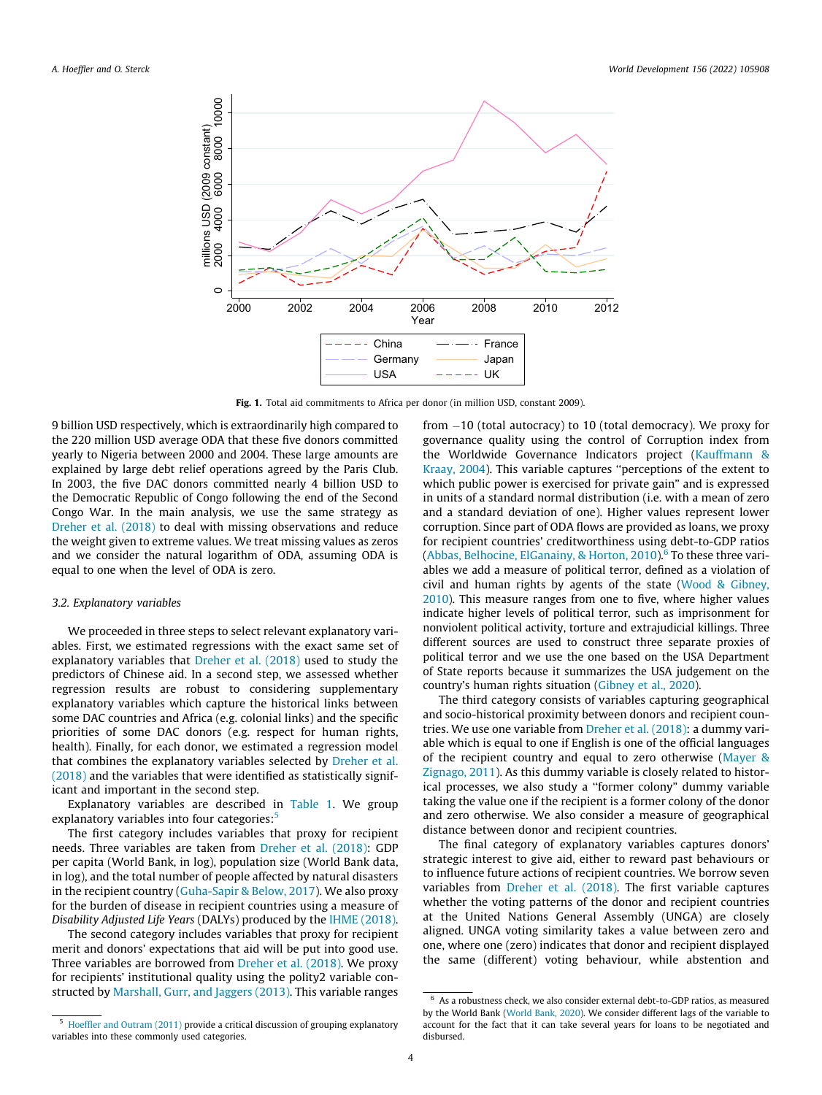<span id="page-3-0"></span>

Fig. 1. Total aid commitments to Africa per donor (in million USD, constant 2009).

9 billion USD respectively, which is extraordinarily high compared to the 220 million USD average ODA that these five donors committed yearly to Nigeria between 2000 and 2004. These large amounts are explained by large debt relief operations agreed by the Paris Club. In 2003, the five DAC donors committed nearly 4 billion USD to the Democratic Republic of Congo following the end of the Second Congo War. In the main analysis, we use the same strategy as [Dreher et al. \(2018\)](#page-14-0) to deal with missing observations and reduce the weight given to extreme values. We treat missing values as zeros and we consider the natural logarithm of ODA, assuming ODA is equal to one when the level of ODA is zero.

# 3.2. Explanatory variables

We proceeded in three steps to select relevant explanatory variables. First, we estimated regressions with the exact same set of explanatory variables that [Dreher et al. \(2018\)](#page-14-0) used to study the predictors of Chinese aid. In a second step, we assessed whether regression results are robust to considering supplementary explanatory variables which capture the historical links between some DAC countries and Africa (e.g. colonial links) and the specific priorities of some DAC donors (e.g. respect for human rights, health). Finally, for each donor, we estimated a regression model that combines the explanatory variables selected by [Dreher et al.](#page-14-0) [\(2018\)](#page-14-0) and the variables that were identified as statistically significant and important in the second step.

Explanatory variables are described in [Table 1](#page-4-0). We group explanatory variables into four categories:<sup>5</sup>

The first category includes variables that proxy for recipient needs. Three variables are taken from [Dreher et al. \(2018\)](#page-14-0): GDP per capita (World Bank, in log), population size (World Bank data, in log), and the total number of people affected by natural disasters in the recipient country ([Guha-Sapir & Below, 2017\)](#page-15-0). We also proxy for the burden of disease in recipient countries using a measure of Disability Adjusted Life Years (DALYs) produced by the [IHME \(2018\).](#page-15-0)

The second category includes variables that proxy for recipient merit and donors' expectations that aid will be put into good use. Three variables are borrowed from [Dreher et al. \(2018\)](#page-14-0). We proxy for recipients' institutional quality using the polity2 variable constructed by [Marshall, Gurr, and Jaggers \(2013\).](#page-15-0) This variable ranges

from -10 (total autocracy) to 10 (total democracy). We proxy for governance quality using the control of Corruption index from the Worldwide Governance Indicators project [\(Kauffmann &](#page-15-0) [Kraay, 2004\)](#page-15-0). This variable captures ''perceptions of the extent to which public power is exercised for private gain" and is expressed in units of a standard normal distribution (i.e. with a mean of zero and a standard deviation of one). Higher values represent lower corruption. Since part of ODA flows are provided as loans, we proxy for recipient countries' creditworthiness using debt-to-GDP ratios (Abbas, Belhocine, ElGanainy, & Horton,  $2010$ ).<sup>6</sup> To these three variables we add a measure of political terror, defined as a violation of civil and human rights by agents of the state ([Wood & Gibney,](#page-15-0) [2010\)](#page-15-0). This measure ranges from one to five, where higher values indicate higher levels of political terror, such as imprisonment for nonviolent political activity, torture and extrajudicial killings. Three different sources are used to construct three separate proxies of political terror and we use the one based on the USA Department of State reports because it summarizes the USA judgement on the country's human rights situation ([Gibney et al., 2020](#page-15-0)).

The third category consists of variables capturing geographical and socio-historical proximity between donors and recipient countries. We use one variable from [Dreher et al. \(2018\)](#page-14-0): a dummy variable which is equal to one if English is one of the official languages of the recipient country and equal to zero otherwise ([Mayer &](#page-15-0) [Zignago, 2011](#page-15-0)). As this dummy variable is closely related to historical processes, we also study a ''former colony" dummy variable taking the value one if the recipient is a former colony of the donor and zero otherwise. We also consider a measure of geographical distance between donor and recipient countries.

The final category of explanatory variables captures donors' strategic interest to give aid, either to reward past behaviours or to influence future actions of recipient countries. We borrow seven variables from [Dreher et al. \(2018\)](#page-14-0). The first variable captures whether the voting patterns of the donor and recipient countries at the United Nations General Assembly (UNGA) are closely aligned. UNGA voting similarity takes a value between zero and one, where one (zero) indicates that donor and recipient displayed the same (different) voting behaviour, while abstention and

<sup>5</sup> [Hoeffler and Outram \(2011\)](#page-15-0) provide a critical discussion of grouping explanatory variables into these commonly used categories.

 $6$  As a robustness check, we also consider external debt-to-GDP ratios, as measured by the World Bank [\(World Bank, 2020](#page-15-0)). We consider different lags of the variable to account for the fact that it can take several years for loans to be negotiated and disbursed.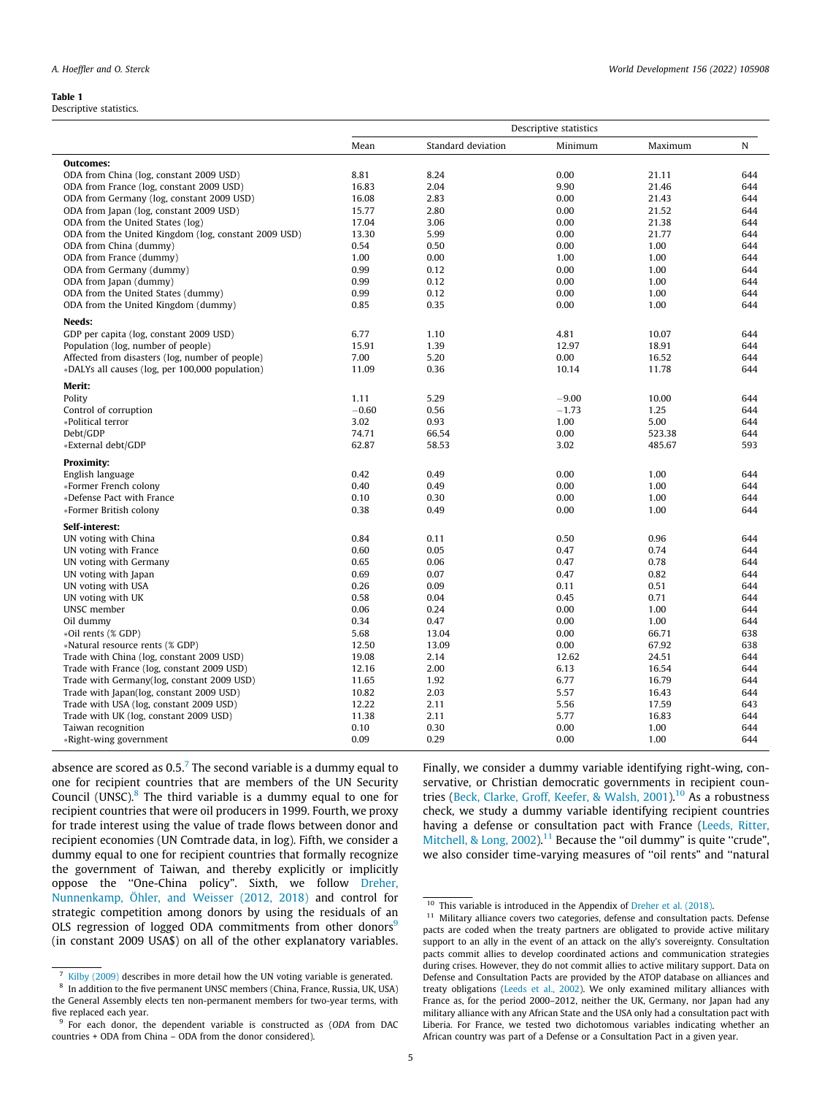#### <span id="page-4-0"></span>Table 1

Descriptive statistics.

|                                                      | Descriptive statistics |                    |         |         |     |  |  |
|------------------------------------------------------|------------------------|--------------------|---------|---------|-----|--|--|
|                                                      | Mean                   | Standard deviation | Minimum | Maximum | N   |  |  |
| Outcomes:                                            |                        |                    |         |         |     |  |  |
| ODA from China (log, constant 2009 USD)              | 8.81                   | 8.24               | 0.00    | 21.11   | 644 |  |  |
| ODA from France (log, constant 2009 USD)             | 16.83                  | 2.04               | 9.90    | 21.46   | 644 |  |  |
| ODA from Germany (log, constant 2009 USD)            | 16.08                  | 2.83               | 0.00    | 21.43   | 644 |  |  |
| ODA from Japan (log, constant 2009 USD)              | 15.77                  | 2.80               | 0.00    | 21.52   | 644 |  |  |
| ODA from the United States (log)                     | 17.04                  | 3.06               | 0.00    | 21.38   | 644 |  |  |
| ODA from the United Kingdom (log, constant 2009 USD) | 13.30                  | 5.99               | 0.00    | 21.77   | 644 |  |  |
| ODA from China (dummy)                               | 0.54                   | 0.50               | 0.00    | 1.00    | 644 |  |  |
| ODA from France (dummy)                              | 1.00                   | 0.00               | 1.00    | 1.00    | 644 |  |  |
| ODA from Germany (dummy)                             | 0.99                   | 0.12               | 0.00    | 1.00    | 644 |  |  |
| ODA from Japan (dummy)                               | 0.99                   | 0.12               | 0.00    | 1.00    | 644 |  |  |
| ODA from the United States (dummy)                   | 0.99                   | 0.12               | 0.00    | 1.00    | 644 |  |  |
| ODA from the United Kingdom (dummy)                  | 0.85                   | 0.35               | 0.00    | 1.00    | 644 |  |  |
| Needs:                                               |                        |                    |         |         |     |  |  |
| GDP per capita (log, constant 2009 USD)              | 6.77                   | 1.10               | 4.81    | 10.07   | 644 |  |  |
| Population (log, number of people)                   | 15.91                  | 1.39               | 12.97   | 18.91   | 644 |  |  |
| Affected from disasters (log, number of people)      | 7.00                   | 5.20               | 0.00    | 16.52   | 644 |  |  |
| *DALYs all causes (log, per 100,000 population)      | 11.09                  | 0.36               | 10.14   | 11.78   | 644 |  |  |
|                                                      |                        |                    |         |         |     |  |  |
| Merit:                                               |                        |                    |         |         |     |  |  |
| Polity                                               | 1.11                   | 5.29               | $-9.00$ | 10.00   | 644 |  |  |
| Control of corruption                                | $-0.60$                | 0.56               | $-1.73$ | 1.25    | 644 |  |  |
| *Political terror                                    | 3.02                   | 0.93               | 1.00    | 5.00    | 644 |  |  |
| Debt/GDP                                             | 74.71                  | 66.54              | 0.00    | 523.38  | 644 |  |  |
| *External debt/GDP                                   | 62.87                  | 58.53              | 3.02    | 485.67  | 593 |  |  |
| <b>Proximity:</b>                                    |                        |                    |         |         |     |  |  |
| English language                                     | 0.42                   | 0.49               | 0.00    | 1.00    | 644 |  |  |
| *Former French colony                                | 0.40                   | 0.49               | 0.00    | 1.00    | 644 |  |  |
| *Defense Pact with France                            | 0.10                   | 0.30               | 0.00    | 1.00    | 644 |  |  |
| *Former British colony                               | 0.38                   | 0.49               | 0.00    | 1.00    | 644 |  |  |
| Self-interest:                                       |                        |                    |         |         |     |  |  |
| UN voting with China                                 | 0.84                   | 0.11               | 0.50    | 0.96    | 644 |  |  |
| UN voting with France                                | 0.60                   | 0.05               | 0.47    | 0.74    | 644 |  |  |
| UN voting with Germany                               | 0.65                   | 0.06               | 0.47    | 0.78    | 644 |  |  |
| UN voting with Japan                                 | 0.69                   | 0.07               | 0.47    | 0.82    | 644 |  |  |
| UN voting with USA                                   | 0.26                   | 0.09               | 0.11    | 0.51    | 644 |  |  |
| UN voting with UK                                    | 0.58                   | 0.04               | 0.45    | 0.71    | 644 |  |  |
| UNSC member                                          | 0.06                   | 0.24               | 0.00    | 1.00    | 644 |  |  |
| Oil dummy                                            | 0.34                   | 0.47               | 0.00    | 1.00    | 644 |  |  |
| *Oil rents (% GDP)                                   | 5.68                   | 13.04              | 0.00    | 66.71   | 638 |  |  |
| *Natural resource rents (% GDP)                      | 12.50                  | 13.09              | 0.00    | 67.92   | 638 |  |  |
| Trade with China (log, constant 2009 USD)            | 19.08                  | 2.14               | 12.62   | 24.51   | 644 |  |  |
| Trade with France (log, constant 2009 USD)           | 12.16                  | 2.00               | 6.13    | 16.54   | 644 |  |  |
|                                                      |                        |                    |         |         |     |  |  |
| Trade with Germany(log, constant 2009 USD)           | 11.65                  | 1.92               | 6.77    | 16.79   | 644 |  |  |
| Trade with Japan(log, constant 2009 USD)             | 10.82                  | 2.03               | 5.57    | 16.43   | 644 |  |  |
| Trade with USA (log, constant 2009 USD)              | 12.22                  | 2.11               | 5.56    | 17.59   | 643 |  |  |
| Trade with UK (log, constant 2009 USD)               | 11.38                  | 2.11               | 5.77    | 16.83   | 644 |  |  |
| Taiwan recognition                                   | 0.10                   | 0.30               | 0.00    | 1.00    | 644 |  |  |
| *Right-wing government                               | 0.09                   | 0.29               | 0.00    | 1.00    | 644 |  |  |

absence are scored as  $0.5<sup>7</sup>$  The second variable is a dummy equal to one for recipient countries that are members of the UN Security Council (UNSC). $8$  The third variable is a dummy equal to one for recipient countries that were oil producers in 1999. Fourth, we proxy for trade interest using the value of trade flows between donor and recipient economies (UN Comtrade data, in log). Fifth, we consider a dummy equal to one for recipient countries that formally recognize the government of Taiwan, and thereby explicitly or implicitly oppose the ''One-China policy". Sixth, we follow [Dreher,](#page-14-0) [Nunnenkamp, Öhler, and Weisser \(2012, 2018\)](#page-14-0) and control for strategic competition among donors by using the residuals of an OLS regression of logged ODA commitments from other donors<sup>9</sup> (in constant 2009 USA\$) on all of the other explanatory variables. Finally, we consider a dummy variable identifying right-wing, conservative, or Christian democratic governments in recipient coun-tries ([Beck, Clarke, Groff, Keefer, & Walsh, 2001\)](#page-14-0).<sup>10</sup> As a robustness check, we study a dummy variable identifying recipient countries having a defense or consultation pact with France ([Leeds, Ritter,](#page-15-0) [Mitchell, & Long, 2002\)](#page-15-0).<sup>11</sup> Because the "oil dummy" is quite "crude", we also consider time-varying measures of ''oil rents" and ''natural

<sup>7</sup> [Kilby \(2009\)](#page-15-0) describes in more detail how the UN voting variable is generated.

<sup>8</sup> In addition to the five permanent UNSC members (China, France, Russia, UK, USA) the General Assembly elects ten non-permanent members for two-year terms, with five replaced each year.

<sup>&</sup>lt;sup>9</sup> For each donor, the dependent variable is constructed as (ODA from DAC countries + ODA from China – ODA from the donor considered).

<sup>&</sup>lt;sup>10</sup> This variable is introduced in the Appendix of [Dreher et al. \(2018\)](#page-14-0).

 $11$  Military alliance covers two categories, defense and consultation pacts. Defense pacts are coded when the treaty partners are obligated to provide active military support to an ally in the event of an attack on the ally's sovereignty. Consultation pacts commit allies to develop coordinated actions and communication strategies during crises. However, they do not commit allies to active military support. Data on Defense and Consultation Pacts are provided by the ATOP database on alliances and treaty obligations [\(Leeds et al., 2002](#page-15-0)). We only examined military alliances with France as, for the period 2000–2012, neither the UK, Germany, nor Japan had any military alliance with any African State and the USA only had a consultation pact with Liberia. For France, we tested two dichotomous variables indicating whether an African country was part of a Defense or a Consultation Pact in a given year.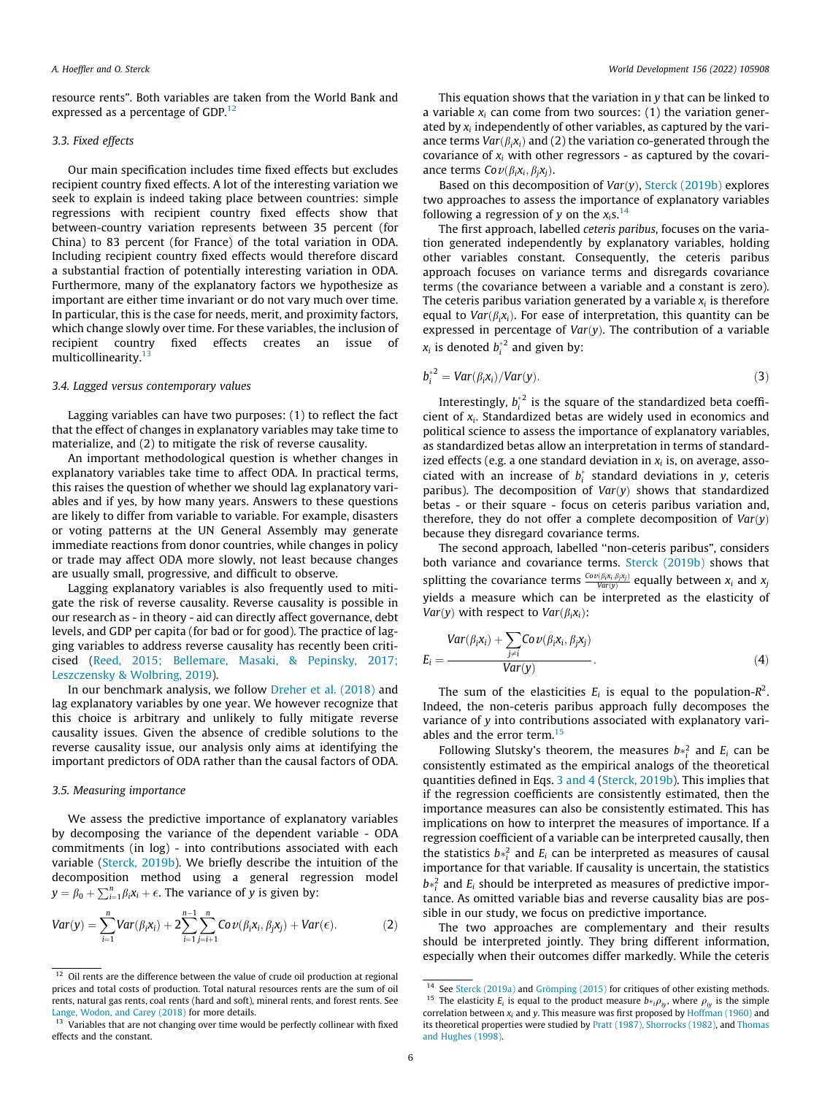<span id="page-5-0"></span>resource rents". Both variables are taken from the World Bank and expressed as a percentage of GDP.<sup>12</sup>

# 3.3. Fixed effects

Our main specification includes time fixed effects but excludes recipient country fixed effects. A lot of the interesting variation we seek to explain is indeed taking place between countries: simple regressions with recipient country fixed effects show that between-country variation represents between 35 percent (for China) to 83 percent (for France) of the total variation in ODA. Including recipient country fixed effects would therefore discard a substantial fraction of potentially interesting variation in ODA. Furthermore, many of the explanatory factors we hypothesize as important are either time invariant or do not vary much over time. In particular, this is the case for needs, merit, and proximity factors, which change slowly over time. For these variables, the inclusion of recipient country fixed effects creates an issue of multicollinearity.<sup>1</sup>

#### 3.4. Lagged versus contemporary values

Lagging variables can have two purposes: (1) to reflect the fact that the effect of changes in explanatory variables may take time to materialize, and (2) to mitigate the risk of reverse causality.

An important methodological question is whether changes in explanatory variables take time to affect ODA. In practical terms, this raises the question of whether we should lag explanatory variables and if yes, by how many years. Answers to these questions are likely to differ from variable to variable. For example, disasters or voting patterns at the UN General Assembly may generate immediate reactions from donor countries, while changes in policy or trade may affect ODA more slowly, not least because changes are usually small, progressive, and difficult to observe.

Lagging explanatory variables is also frequently used to mitigate the risk of reverse causality. Reverse causality is possible in our research as - in theory - aid can directly affect governance, debt levels, and GDP per capita (for bad or for good). The practice of lagging variables to address reverse causality has recently been criticised ([Reed, 2015; Bellemare, Masaki, & Pepinsky, 2017;](#page-15-0) [Leszczensky & Wolbring, 2019\)](#page-15-0).

In our benchmark analysis, we follow [Dreher et al. \(2018\)](#page-14-0) and lag explanatory variables by one year. We however recognize that this choice is arbitrary and unlikely to fully mitigate reverse causality issues. Given the absence of credible solutions to the reverse causality issue, our analysis only aims at identifying the important predictors of ODA rather than the causal factors of ODA.

# 3.5. Measuring importance

We assess the predictive importance of explanatory variables by decomposing the variance of the dependent variable - ODA commitments (in log) - into contributions associated with each variable [\(Sterck, 2019b\)](#page-15-0). We briefly describe the intuition of the decomposition method using a general regression model  $y = \beta_0 + \sum_{i=1}^n \beta_i x_i + \epsilon$ . The variance of y is given by:

$$
Var(y) = \sum_{i=1}^{n} Var(\beta_i x_i) + 2 \sum_{i=1}^{n-1} \sum_{j=i+1}^{n} Cov(\beta_i x_i, \beta_j x_j) + Var(\epsilon).
$$
 (2)

This equation shows that the variation in y that can be linked to a variable  $x_i$  can come from two sources: (1) the variation generated by  $x_i$  independently of other variables, as captured by the variance terms  $Var(\beta_i x_i)$  and (2) the variation co-generated through the covariance of  $x_i$  with other regressors - as captured by the covariance terms  $Cov(\beta_i x_i, \beta_i x_j)$ .

Based on this decomposition of  $Var(y)$ , [Sterck \(2019b\)](#page-15-0) explores two approaches to assess the importance of explanatory variables following a regression of y on the  $x_i$ s.<sup>14</sup>

The first approach, labelled ceteris paribus, focuses on the variation generated independently by explanatory variables, holding other variables constant. Consequently, the ceteris paribus approach focuses on variance terms and disregards covariance terms (the covariance between a variable and a constant is zero). The ceteris paribus variation generated by a variable  $x_i$  is therefore equal to  $Var(\beta_i x_i)$ . For ease of interpretation, this quantity can be expressed in percentage of  $Var(y)$ . The contribution of a variable  $x_i$  is denoted  $b_i^*$  and given by:

$$
b_i^{\ast 2} = Var(\beta_i x_i) / Var(y).
$$
 (3)

Interestingly,  $b_i^{\ast^2}$  is the square of the standardized beta coefficient of  $x_i$ . Standardized betas are widely used in economics and political science to assess the importance of explanatory variables, as standardized betas allow an interpretation in terms of standardized effects (e.g. a one standard deviation in  $x_i$  is, on average, associated with an increase of  $b_i^*$  standard deviations in y, ceteris paribus). The decomposition of  $Var(y)$  shows that standardized betas - or their square - focus on ceteris paribus variation and, therefore, they do not offer a complete decomposition of  $Var(y)$ because they disregard covariance terms.

The second approach, labelled ''non-ceteris paribus", considers both variance and covariance terms. [Sterck \(2019b\)](#page-15-0) shows that splitting the covariance terms  $\frac{Cov(\beta_1 x_1, \beta_1 x_j)}{Var(y)}$  equally between  $x_i$  and  $x_j$ yields a measure which can be interpreted as the elasticity of *Var*(*y*) with respect to *Var*( $\beta_i$ *x*<sub>*i*</sub>):

$$
Var(\beta_i x_i) + \sum_{j \neq i} Cov(\beta_i x_i, \beta_j x_j)
$$
  
\n
$$
E_i = \frac{Var(y)}{Var(y)}.
$$
 (4)

The sum of the elasticities  $E_i$  is equal to the population- $R^2$ . Indeed, the non-ceteris paribus approach fully decomposes the variance of y into contributions associated with explanatory variables and the error term.<sup>15</sup>

Following Slutsky's theorem, the measures  $b*_i^2$  and  $E_i$  can be consistently estimated as the empirical analogs of the theoretical quantities defined in Eqs. 3 and 4 ([Sterck, 2019b\)](#page-15-0). This implies that if the regression coefficients are consistently estimated, then the importance measures can also be consistently estimated. This has implications on how to interpret the measures of importance. If a regression coefficient of a variable can be interpreted causally, then the statistics  $b *^2$  and  $E_i$  can be interpreted as measures of causal importance for that variable. If causality is uncertain, the statistics  $b*_i^2$  and  $E_i$  should be interpreted as measures of predictive importance. As omitted variable bias and reverse causality bias are possible in our study, we focus on predictive importance.

The two approaches are complementary and their results should be interpreted jointly. They bring different information, especially when their outcomes differ markedly. While the ceteris

 $12\,$  Oil rents are the difference between the value of crude oil production at regional prices and total costs of production. Total natural resources rents are the sum of oil rents, natural gas rents, coal rents (hard and soft), mineral rents, and forest rents. See [Lange, Wodon, and Carey \(2018\)](#page-15-0) for more details.

<sup>&</sup>lt;sup>13</sup> Variables that are not changing over time would be perfectly collinear with fixed effects and the constant.

<sup>14</sup> See [Sterck \(2019a\)](#page-15-0) and [Grömping \(2015\)](#page-15-0) for critiques of other existing methods. <sup>15</sup> The elasticity  $E_i$  is equal to the product measure  $b_{*i}\rho_{iy}$ , where  $\rho_{iy}$  is the simple correlation between  $x_i$  and y. This measure was first proposed by [Hoffman \(1960\)](#page-15-0) and its theoretical properties were studied by [Pratt \(1987\), Shorrocks \(1982\),](#page-15-0) and [Thomas](#page-15-0) [and Hughes \(1998\).](#page-15-0)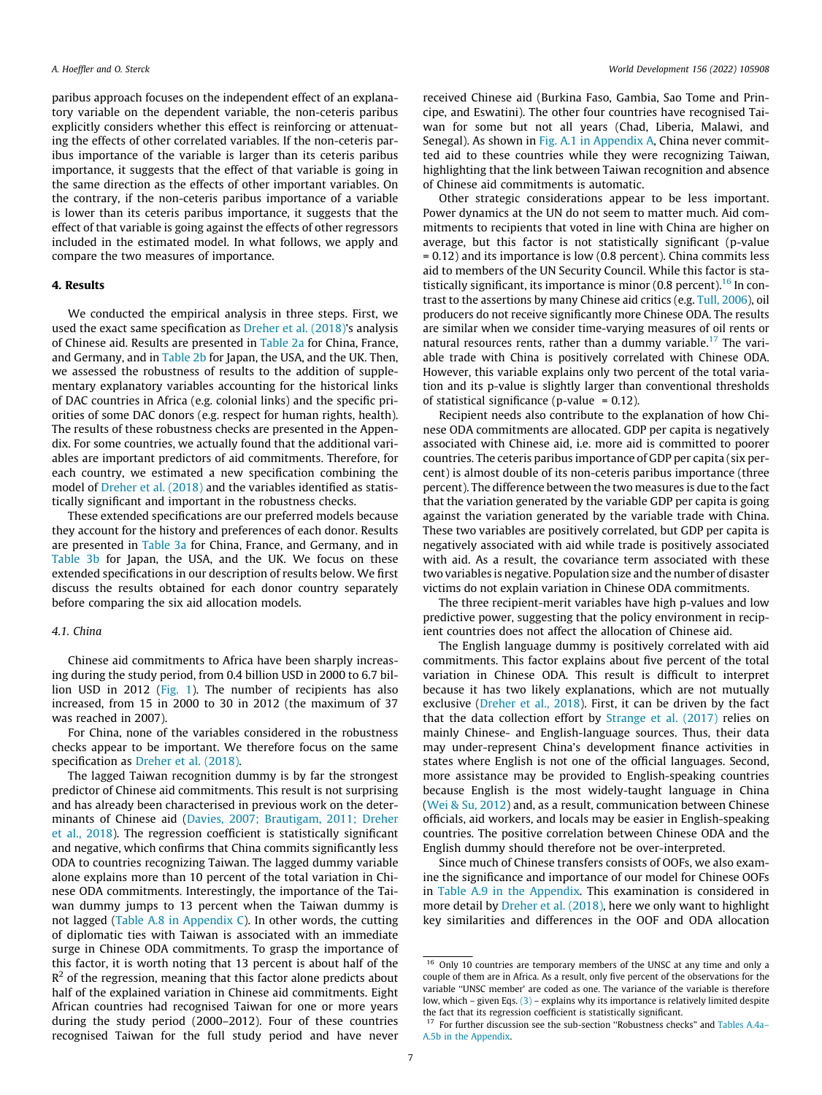<span id="page-6-0"></span>paribus approach focuses on the independent effect of an explanatory variable on the dependent variable, the non-ceteris paribus explicitly considers whether this effect is reinforcing or attenuating the effects of other correlated variables. If the non-ceteris paribus importance of the variable is larger than its ceteris paribus importance, it suggests that the effect of that variable is going in the same direction as the effects of other important variables. On the contrary, if the non-ceteris paribus importance of a variable is lower than its ceteris paribus importance, it suggests that the effect of that variable is going against the effects of other regressors included in the estimated model. In what follows, we apply and compare the two measures of importance.

# 4. Results

We conducted the empirical analysis in three steps. First, we used the exact same specification as [Dreher et al. \(2018\)'](#page-14-0)s analysis of Chinese aid. Results are presented in [Table 2a](#page-7-0) for China, France, and Germany, and in [Table 2b](#page-7-0) for Japan, the USA, and the UK. Then, we assessed the robustness of results to the addition of supplementary explanatory variables accounting for the historical links of DAC countries in Africa (e.g. colonial links) and the specific priorities of some DAC donors (e.g. respect for human rights, health). The results of these robustness checks are presented in the Appendix. For some countries, we actually found that the additional variables are important predictors of aid commitments. Therefore, for each country, we estimated a new specification combining the model of [Dreher et al. \(2018\)](#page-14-0) and the variables identified as statistically significant and important in the robustness checks.

These extended specifications are our preferred models because they account for the history and preferences of each donor. Results are presented in [Table 3a](#page-8-0) for China, France, and Germany, and in [Table 3b](#page-9-0) for Japan, the USA, and the UK. We focus on these extended specifications in our description of results below. We first discuss the results obtained for each donor country separately before comparing the six aid allocation models.

# 4.1. China

Chinese aid commitments to Africa have been sharply increasing during the study period, from 0.4 billion USD in 2000 to 6.7 billion USD in 2012 ([Fig. 1](#page-3-0)). The number of recipients has also increased, from 15 in 2000 to 30 in 2012 (the maximum of 37 was reached in 2007).

For China, none of the variables considered in the robustness checks appear to be important. We therefore focus on the same specification as [Dreher et al. \(2018\)](#page-14-0).

The lagged Taiwan recognition dummy is by far the strongest predictor of Chinese aid commitments. This result is not surprising and has already been characterised in previous work on the determinants of Chinese aid [\(Davies, 2007; Brautigam, 2011; Dreher](#page-14-0) [et al., 2018\)](#page-14-0). The regression coefficient is statistically significant and negative, which confirms that China commits significantly less ODA to countries recognizing Taiwan. The lagged dummy variable alone explains more than 10 percent of the total variation in Chinese ODA commitments. Interestingly, the importance of the Taiwan dummy jumps to 13 percent when the Taiwan dummy is not lagged (Table A.8 in Appendix C). In other words, the cutting of diplomatic ties with Taiwan is associated with an immediate surge in Chinese ODA commitments. To grasp the importance of this factor, it is worth noting that 13 percent is about half of the  $R<sup>2</sup>$  of the regression, meaning that this factor alone predicts about half of the explained variation in Chinese aid commitments. Eight African countries had recognised Taiwan for one or more years during the study period (2000–2012). Four of these countries recognised Taiwan for the full study period and have never received Chinese aid (Burkina Faso, Gambia, Sao Tome and Principe, and Eswatini). The other four countries have recognised Taiwan for some but not all years (Chad, Liberia, Malawi, and Senegal). As shown in Fig. A.1 in Appendix A, China never committed aid to these countries while they were recognizing Taiwan, highlighting that the link between Taiwan recognition and absence of Chinese aid commitments is automatic.

Other strategic considerations appear to be less important. Power dynamics at the UN do not seem to matter much. Aid commitments to recipients that voted in line with China are higher on average, but this factor is not statistically significant (p-value = 0.12) and its importance is low (0.8 percent). China commits less aid to members of the UN Security Council. While this factor is statistically significant, its importance is minor  $(0.8$  percent).<sup>16</sup> In contrast to the assertions by many Chinese aid critics (e.g. [Tull, 2006\)](#page-15-0), oil producers do not receive significantly more Chinese ODA. The results are similar when we consider time-varying measures of oil rents or natural resources rents, rather than a dummy variable.<sup>17</sup> The variable trade with China is positively correlated with Chinese ODA. However, this variable explains only two percent of the total variation and its p-value is slightly larger than conventional thresholds of statistical significance (p-value =  $0.12$ ).

Recipient needs also contribute to the explanation of how Chinese ODA commitments are allocated. GDP per capita is negatively associated with Chinese aid, i.e. more aid is committed to poorer countries. The ceteris paribus importance of GDP per capita (six percent) is almost double of its non-ceteris paribus importance (three percent). The difference between the two measures is due to the fact that the variation generated by the variable GDP per capita is going against the variation generated by the variable trade with China. These two variables are positively correlated, but GDP per capita is negatively associated with aid while trade is positively associated with aid. As a result, the covariance term associated with these two variables is negative. Population size and the number of disaster victims do not explain variation in Chinese ODA commitments.

The three recipient-merit variables have high p-values and low predictive power, suggesting that the policy environment in recipient countries does not affect the allocation of Chinese aid.

The English language dummy is positively correlated with aid commitments. This factor explains about five percent of the total variation in Chinese ODA. This result is difficult to interpret because it has two likely explanations, which are not mutually exclusive ([Dreher et al., 2018](#page-14-0)). First, it can be driven by the fact that the data collection effort by [Strange et al. \(2017\)](#page-15-0) relies on mainly Chinese- and English-language sources. Thus, their data may under-represent China's development finance activities in states where English is not one of the official languages. Second, more assistance may be provided to English-speaking countries because English is the most widely-taught language in China ([Wei & Su, 2012\)](#page-15-0) and, as a result, communication between Chinese officials, aid workers, and locals may be easier in English-speaking countries. The positive correlation between Chinese ODA and the English dummy should therefore not be over-interpreted.

Since much of Chinese transfers consists of OOFs, we also examine the significance and importance of our model for Chinese OOFs in Table A.9 in the Appendix. This examination is considered in more detail by [Dreher et al. \(2018\)](#page-14-0), here we only want to highlight key similarities and differences in the OOF and ODA allocation

<sup>&</sup>lt;sup>16</sup> Only 10 countries are temporary members of the UNSC at any time and only a couple of them are in Africa. As a result, only five percent of the observations for the variable ''UNSC member' are coded as one. The variance of the variable is therefore low, which – given Eqs.  $(3)$  – explains why its importance is relatively limited despite the fact that its regression coefficient is statistically significant.

<sup>&</sup>lt;sup>17</sup> For further discussion see the sub-section "Robustness checks" and Tables A.4a-A.5b in the Appendix.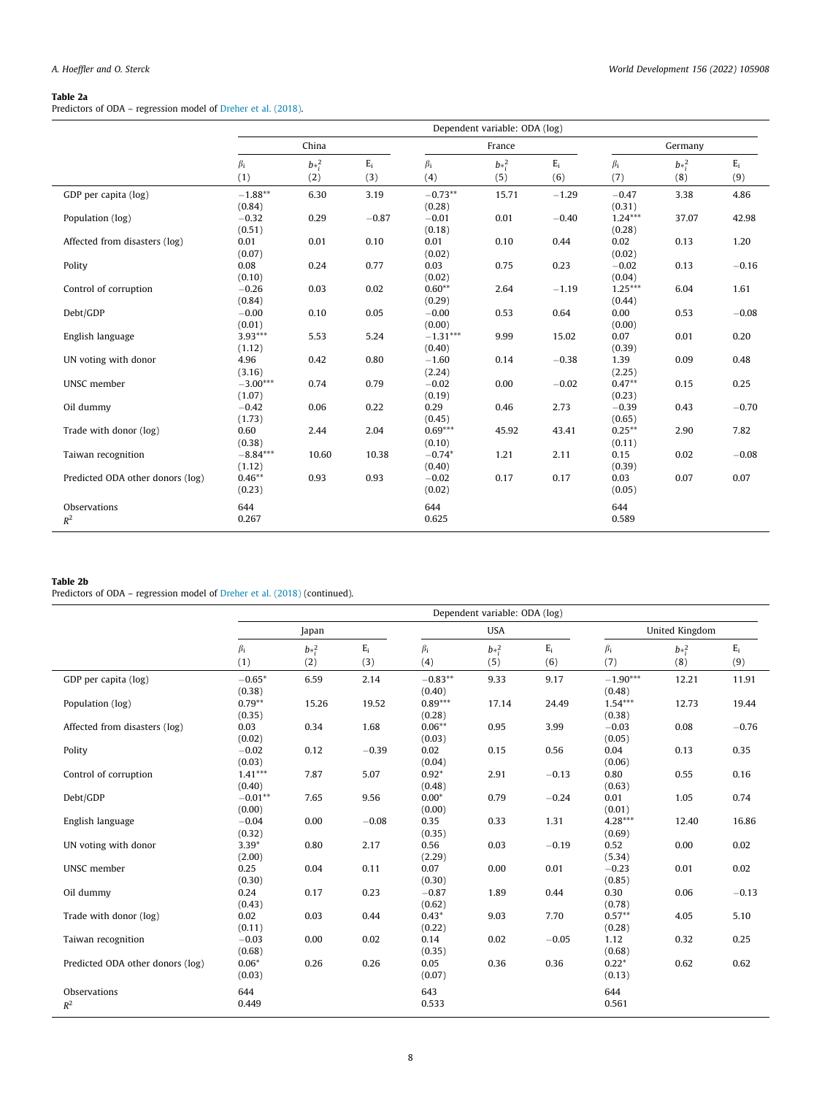# <span id="page-7-0"></span>Table 2a

Predictors of ODA – regression model of [Dreher et al. \(2018\)](#page-14-0).

|                                  | Dependent variable: ODA (log) |                 |              |                      |                 |              |                     |                 |              |
|----------------------------------|-------------------------------|-----------------|--------------|----------------------|-----------------|--------------|---------------------|-----------------|--------------|
|                                  | China                         |                 |              | France               |                 |              | Germany             |                 |              |
|                                  | $\beta_i$<br>(1)              | $b*^2_i$<br>(2) | $E_i$<br>(3) | $\beta_i$<br>(4)     | $b*^2_i$<br>(5) | $E_i$<br>(6) | $\beta_i$<br>(7)    | $b*_i^2$<br>(8) | $E_i$<br>(9) |
| GDP per capita (log)             | $-1.88**$<br>(0.84)           | 6.30            | 3.19         | $-0.73**$<br>(0.28)  | 15.71           | $-1.29$      | $-0.47$<br>(0.31)   | 3.38            | 4.86         |
| Population (log)                 | $-0.32$<br>(0.51)             | 0.29            | $-0.87$      | $-0.01$<br>(0.18)    | 0.01            | $-0.40$      | $1.24***$<br>(0.28) | 37.07           | 42.98        |
| Affected from disasters (log)    | 0.01<br>(0.07)                | 0.01            | 0.10         | 0.01<br>(0.02)       | 0.10            | 0.44         | 0.02<br>(0.02)      | 0.13            | 1.20         |
| Polity                           | 0.08<br>(0.10)                | 0.24            | 0.77         | 0.03<br>(0.02)       | 0.75            | 0.23         | $-0.02$<br>(0.04)   | 0.13            | $-0.16$      |
| Control of corruption            | $-0.26$<br>(0.84)             | 0.03            | 0.02         | $0.60**$<br>(0.29)   | 2.64            | $-1.19$      | $1.25***$<br>(0.44) | 6.04            | 1.61         |
| Debt/GDP                         | $-0.00$<br>(0.01)             | 0.10            | 0.05         | $-0.00$<br>(0.00)    | 0.53            | 0.64         | 0.00<br>(0.00)      | 0.53            | $-0.08$      |
| English language                 | $3.93***$<br>(1.12)           | 5.53            | 5.24         | $-1.31***$<br>(0.40) | 9.99            | 15.02        | 0.07<br>(0.39)      | 0.01            | 0.20         |
| UN voting with donor             | 4.96<br>(3.16)                | 0.42            | 0.80         | $-1.60$<br>(2.24)    | 0.14            | $-0.38$      | 1.39<br>(2.25)      | 0.09            | 0.48         |
| UNSC member                      | $-3.00***$<br>(1.07)          | 0.74            | 0.79         | $-0.02$<br>(0.19)    | 0.00            | $-0.02$      | $0.47**$<br>(0.23)  | 0.15            | 0.25         |
| Oil dummy                        | $-0.42$<br>(1.73)             | 0.06            | 0.22         | 0.29<br>(0.45)       | 0.46            | 2.73         | $-0.39$<br>(0.65)   | 0.43            | $-0.70$      |
| Trade with donor (log)           | 0.60<br>(0.38)                | 2.44            | 2.04         | $0.69***$<br>(0.10)  | 45.92           | 43.41        | $0.25***$<br>(0.11) | 2.90            | 7.82         |
| Taiwan recognition               | $-8.84***$<br>(1.12)          | 10.60           | 10.38        | $-0.74*$<br>(0.40)   | 1.21            | 2.11         | 0.15<br>(0.39)      | 0.02            | $-0.08$      |
| Predicted ODA other donors (log) | $0.46**$<br>(0.23)            | 0.93            | 0.93         | $-0.02$<br>(0.02)    | 0.17            | 0.17         | 0.03<br>(0.05)      | 0.07            | 0.07         |
| Observations<br>$R^2$            | 644<br>0.267                  |                 |              | 644<br>0.625         |                 |              | 644<br>0.589        |                 |              |

#### Table 2b

Predictors of ODA – regression model of [Dreher et al. \(2018\)](#page-14-0) (continued).

|                                  | Dependent variable: ODA (log) |                 |              |                     |                 |              |                      |                 |              |
|----------------------------------|-------------------------------|-----------------|--------------|---------------------|-----------------|--------------|----------------------|-----------------|--------------|
|                                  | Japan                         |                 |              | <b>USA</b>          |                 |              | United Kingdom       |                 |              |
|                                  | $\beta_i$<br>(1)              | $b*^2_i$<br>(2) | $E_i$<br>(3) | $\beta_i$<br>(4)    | $b*^2_i$<br>(5) | $E_i$<br>(6) | $\beta_i$<br>(7)     | $b*^2_i$<br>(8) | $E_i$<br>(9) |
| GDP per capita (log)             | $-0.65*$<br>(0.38)            | 6.59            | 2.14         | $-0.83**$<br>(0.40) | 9.33            | 9.17         | $-1.90***$<br>(0.48) | 12.21           | 11.91        |
| Population (log)                 | $0.79**$<br>(0.35)            | 15.26           | 19.52        | $0.89***$<br>(0.28) | 17.14           | 24.49        | $1.54***$<br>(0.38)  | 12.73           | 19.44        |
| Affected from disasters (log)    | 0.03<br>(0.02)                | 0.34            | 1.68         | $0.06**$<br>(0.03)  | 0.95            | 3.99         | $-0.03$<br>(0.05)    | 0.08            | $-0.76$      |
| Polity                           | $-0.02$<br>(0.03)             | 0.12            | $-0.39$      | 0.02<br>(0.04)      | 0.15            | 0.56         | 0.04<br>(0.06)       | 0.13            | 0.35         |
| Control of corruption            | $1.41***$<br>(0.40)           | 7.87            | 5.07         | $0.92*$<br>(0.48)   | 2.91            | $-0.13$      | 0.80<br>(0.63)       | 0.55            | 0.16         |
| Debt/GDP                         | $-0.01**$<br>(0.00)           | 7.65            | 9.56         | $0.00*$<br>(0.00)   | 0.79            | $-0.24$      | 0.01<br>(0.01)       | 1.05            | 0.74         |
| English language                 | $-0.04$<br>(0.32)             | 0.00            | $-0.08$      | 0.35<br>(0.35)      | 0.33            | 1.31         | $4.28***$<br>(0.69)  | 12.40           | 16.86        |
| UN voting with donor             | $3.39*$<br>(2.00)             | 0.80            | 2.17         | 0.56<br>(2.29)      | 0.03            | $-0.19$      | 0.52<br>(5.34)       | 0.00            | 0.02         |
| UNSC member                      | 0.25<br>(0.30)                | 0.04            | 0.11         | 0.07<br>(0.30)      | 0.00            | 0.01         | $-0.23$<br>(0.85)    | 0.01            | 0.02         |
| Oil dummy                        | 0.24<br>(0.43)                | 0.17            | 0.23         | $-0.87$<br>(0.62)   | 1.89            | 0.44         | 0.30<br>(0.78)       | 0.06            | $-0.13$      |
| Trade with donor (log)           | 0.02<br>(0.11)                | 0.03            | 0.44         | $0.43*$<br>(0.22)   | 9.03            | 7.70         | $0.57**$<br>(0.28)   | 4.05            | 5.10         |
| Taiwan recognition               | $-0.03$<br>(0.68)             | 0.00            | 0.02         | 0.14<br>(0.35)      | 0.02            | $-0.05$      | 1.12<br>(0.68)       | 0.32            | 0.25         |
| Predicted ODA other donors (log) | $0.06*$<br>(0.03)             | 0.26            | 0.26         | 0.05<br>(0.07)      | 0.36            | 0.36         | $0.22*$<br>(0.13)    | 0.62            | 0.62         |
| Observations<br>$R^2$            | 644<br>0.449                  |                 |              | 643<br>0.533        |                 |              | 644<br>0.561         |                 |              |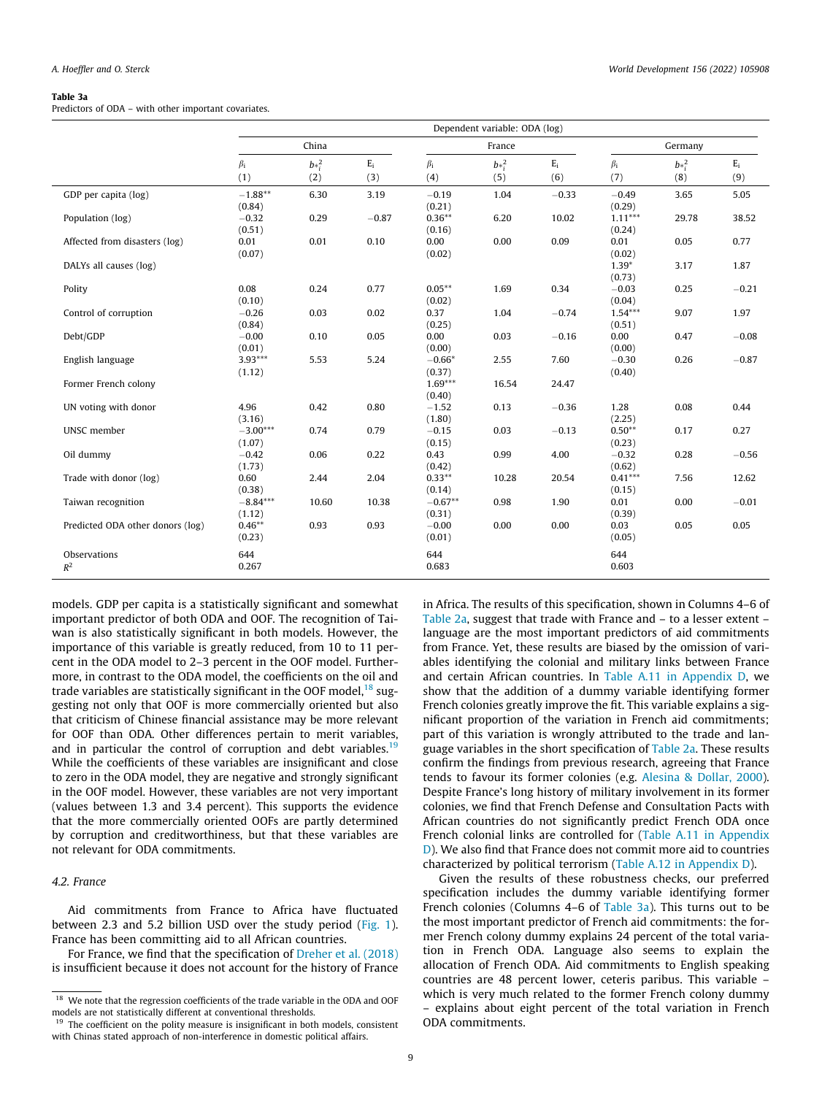#### <span id="page-8-0"></span>Table 3a

Predictors of ODA – with other important covariates.

|                                  | Dependent variable: ODA (log) |          |              |                     |                 |                  |                     |                 |         |
|----------------------------------|-------------------------------|----------|--------------|---------------------|-----------------|------------------|---------------------|-----------------|---------|
|                                  | China                         |          |              | France              |                 |                  | Germany             |                 |         |
|                                  | $\beta_i$<br>(1)              | $b*_i^2$ | $E_i$<br>(3) | $\beta_i$<br>(4)    | $b*^2_i$<br>(5) | $\rm E_i$<br>(6) | $\beta_i$<br>(7)    | $b*_i^2$<br>(8) | $E_i$   |
|                                  |                               | (2)      |              |                     |                 |                  |                     |                 | (9)     |
| GDP per capita (log)             | $-1.88**$<br>(0.84)           | 6.30     | 3.19         | $-0.19$<br>(0.21)   | 1.04            | $-0.33$          | $-0.49$<br>(0.29)   | 3.65            | 5.05    |
| Population (log)                 | $-0.32$<br>(0.51)             | 0.29     | $-0.87$      | $0.36***$<br>(0.16) | 6.20            | 10.02            | $1.11***$<br>(0.24) | 29.78           | 38.52   |
| Affected from disasters (log)    | 0.01<br>(0.07)                | 0.01     | 0.10         | 0.00<br>(0.02)      | 0.00            | 0.09             | 0.01<br>(0.02)      | 0.05            | 0.77    |
| DALYs all causes (log)           |                               |          |              |                     |                 |                  | $1.39*$<br>(0.73)   | 3.17            | 1.87    |
| Polity                           | 0.08<br>(0.10)                | 0.24     | 0.77         | $0.05***$<br>(0.02) | 1.69            | 0.34             | $-0.03$<br>(0.04)   | 0.25            | $-0.21$ |
| Control of corruption            | $-0.26$<br>(0.84)             | 0.03     | 0.02         | 0.37<br>(0.25)      | 1.04            | $-0.74$          | $1.54***$<br>(0.51) | 9.07            | 1.97    |
| Debt/GDP                         | $-0.00$<br>(0.01)             | 0.10     | 0.05         | 0.00<br>(0.00)      | 0.03            | $-0.16$          | 0.00<br>(0.00)      | 0.47            | $-0.08$ |
| English language                 | $3.93***$<br>(1.12)           | 5.53     | 5.24         | $-0.66*$<br>(0.37)  | 2.55            | 7.60             | $-0.30$<br>(0.40)   | 0.26            | $-0.87$ |
| Former French colony             |                               |          |              | $1.69***$<br>(0.40) | 16.54           | 24.47            |                     |                 |         |
| UN voting with donor             | 4.96<br>(3.16)                | 0.42     | 0.80         | $-1.52$<br>(1.80)   | 0.13            | $-0.36$          | 1.28<br>(2.25)      | 0.08            | 0.44    |
| UNSC member                      | $-3.00***$<br>(1.07)          | 0.74     | 0.79         | $-0.15$<br>(0.15)   | 0.03            | $-0.13$          | $0.50**$<br>(0.23)  | 0.17            | 0.27    |
| Oil dummy                        | $-0.42$<br>(1.73)             | 0.06     | 0.22         | 0.43<br>(0.42)      | 0.99            | 4.00             | $-0.32$<br>(0.62)   | 0.28            | $-0.56$ |
| Trade with donor (log)           | 0.60<br>(0.38)                | 2.44     | 2.04         | $0.33***$<br>(0.14) | 10.28           | 20.54            | $0.41***$<br>(0.15) | 7.56            | 12.62   |
| Taiwan recognition               | $-8.84***$<br>(1.12)          | 10.60    | 10.38        | $-0.67**$<br>(0.31) | 0.98            | 1.90             | 0.01<br>(0.39)      | 0.00            | $-0.01$ |
| Predicted ODA other donors (log) | $0.46**$<br>(0.23)            | 0.93     | 0.93         | $-0.00$<br>(0.01)   | 0.00            | 0.00             | 0.03<br>(0.05)      | 0.05            | 0.05    |
| Observations<br>$R^2$            | 644<br>0.267                  |          |              | 644<br>0.683        |                 |                  | 644<br>0.603        |                 |         |

models. GDP per capita is a statistically significant and somewhat important predictor of both ODA and OOF. The recognition of Taiwan is also statistically significant in both models. However, the importance of this variable is greatly reduced, from 10 to 11 percent in the ODA model to 2–3 percent in the OOF model. Furthermore, in contrast to the ODA model, the coefficients on the oil and trade variables are statistically significant in the OOF model, $^{18}$  suggesting not only that OOF is more commercially oriented but also that criticism of Chinese financial assistance may be more relevant for OOF than ODA. Other differences pertain to merit variables, and in particular the control of corruption and debt variables.<sup>19</sup> While the coefficients of these variables are insignificant and close to zero in the ODA model, they are negative and strongly significant in the OOF model. However, these variables are not very important (values between 1.3 and 3.4 percent). This supports the evidence that the more commercially oriented OOFs are partly determined by corruption and creditworthiness, but that these variables are not relevant for ODA commitments.

# 4.2. France

Aid commitments from France to Africa have fluctuated between 2.3 and 5.2 billion USD over the study period [\(Fig. 1\)](#page-3-0). France has been committing aid to all African countries.

For France, we find that the specification of [Dreher et al. \(2018\)](#page-14-0) is insufficient because it does not account for the history of France in Africa. The results of this specification, shown in Columns 4–6 of [Table 2a](#page-7-0), suggest that trade with France and – to a lesser extent – language are the most important predictors of aid commitments from France. Yet, these results are biased by the omission of variables identifying the colonial and military links between France and certain African countries. In Table A.11 in Appendix D, we show that the addition of a dummy variable identifying former French colonies greatly improve the fit. This variable explains a significant proportion of the variation in French aid commitments; part of this variation is wrongly attributed to the trade and language variables in the short specification of [Table 2a](#page-7-0). These results confirm the findings from previous research, agreeing that France tends to favour its former colonies (e.g. [Alesina & Dollar, 2000\)](#page-14-0). Despite France's long history of military involvement in its former colonies, we find that French Defense and Consultation Pacts with African countries do not significantly predict French ODA once French colonial links are controlled for (Table A.11 in Appendix D). We also find that France does not commit more aid to countries characterized by political terrorism (Table A.12 in Appendix D).

Given the results of these robustness checks, our preferred specification includes the dummy variable identifying former French colonies (Columns 4–6 of Table 3a). This turns out to be the most important predictor of French aid commitments: the former French colony dummy explains 24 percent of the total variation in French ODA. Language also seems to explain the allocation of French ODA. Aid commitments to English speaking countries are 48 percent lower, ceteris paribus. This variable – which is very much related to the former French colony dummy – explains about eight percent of the total variation in French ODA commitments.

<sup>&</sup>lt;sup>18</sup> We note that the regression coefficients of the trade variable in the ODA and OOF models are not statistically different at conventional thresholds.

<sup>&</sup>lt;sup>19</sup> The coefficient on the polity measure is insignificant in both models, consistent with Chinas stated approach of non-interference in domestic political affairs.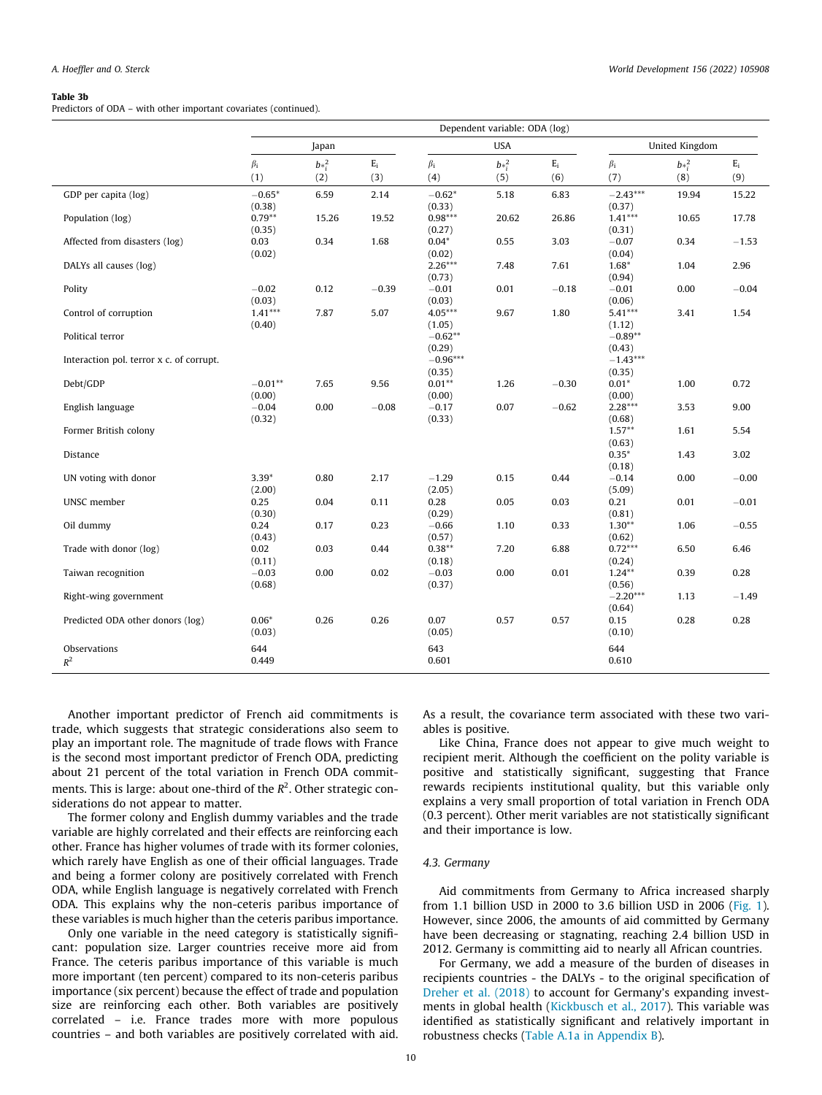#### <span id="page-9-0"></span>Table 3b

Predictors of ODA – with other important covariates (continued).

|                                          | Dependent variable: ODA (log) |          |         |                      |            |         |                      |                |         |
|------------------------------------------|-------------------------------|----------|---------|----------------------|------------|---------|----------------------|----------------|---------|
|                                          |                               | Japan    |         |                      | <b>USA</b> |         |                      | United Kingdom |         |
|                                          | $\beta_i$                     | $b*^2_i$ | $E_i$   | $\beta_i$            | $b*^2_i$   | $E_i$   | $\beta_i$            | $b*_i^2$       | $E_i$   |
|                                          | (1)                           | (2)      | (3)     | (4)                  | (5)        | (6)     | (7)                  | (8)            | (9)     |
| GDP per capita (log)                     | $-0.65*$<br>(0.38)            | 6.59     | 2.14    | $-0.62*$<br>(0.33)   | 5.18       | 6.83    | $-2.43***$<br>(0.37) | 19.94          | 15.22   |
| Population (log)                         | $0.79**$<br>(0.35)            | 15.26    | 19.52   | $0.98***$<br>(0.27)  | 20.62      | 26.86   | $1.41***$<br>(0.31)  | 10.65          | 17.78   |
| Affected from disasters (log)            | 0.03<br>(0.02)                | 0.34     | 1.68    | $0.04*$<br>(0.02)    | 0.55       | 3.03    | $-0.07$<br>(0.04)    | 0.34           | $-1.53$ |
| DALYs all causes (log)                   |                               |          |         | $2.26***$<br>(0.73)  | 7.48       | 7.61    | $1.68*$<br>(0.94)    | 1.04           | 2.96    |
| Polity                                   | $-0.02$<br>(0.03)             | 0.12     | $-0.39$ | $-0.01$<br>(0.03)    | 0.01       | $-0.18$ | $-0.01$<br>(0.06)    | 0.00           | $-0.04$ |
| Control of corruption                    | $1.41***$<br>(0.40)           | 7.87     | 5.07    | $4.05***$<br>(1.05)  | 9.67       | 1.80    | $5.41***$<br>(1.12)  | 3.41           | 1.54    |
| Political terror                         |                               |          |         | $-0.62**$<br>(0.29)  |            |         | $-0.89**$<br>(0.43)  |                |         |
| Interaction pol. terror x c. of corrupt. |                               |          |         | $-0.96***$<br>(0.35) |            |         | $-1.43***$<br>(0.35) |                |         |
| Debt/GDP                                 | $-0.01**$<br>(0.00)           | 7.65     | 9.56    | $0.01**$<br>(0.00)   | 1.26       | $-0.30$ | $0.01*$<br>(0.00)    | 1.00           | 0.72    |
| English language                         | $-0.04$<br>(0.32)             | 0.00     | $-0.08$ | $-0.17$<br>(0.33)    | 0.07       | $-0.62$ | $2.28***$<br>(0.68)  | 3.53           | 9.00    |
| Former British colony                    |                               |          |         |                      |            |         | $1.57**$<br>(0.63)   | 1.61           | 5.54    |
| Distance                                 |                               |          |         |                      |            |         | $0.35*$<br>(0.18)    | 1.43           | 3.02    |
| UN voting with donor                     | $3.39*$<br>(2.00)             | 0.80     | 2.17    | $-1.29$<br>(2.05)    | 0.15       | 0.44    | $-0.14$<br>(5.09)    | 0.00           | $-0.00$ |
| UNSC member                              | 0.25<br>(0.30)                | 0.04     | 0.11    | 0.28<br>(0.29)       | 0.05       | 0.03    | 0.21<br>(0.81)       | 0.01           | $-0.01$ |
| Oil dummy                                | 0.24<br>(0.43)                | 0.17     | 0.23    | $-0.66$<br>(0.57)    | 1.10       | 0.33    | $1.30**$<br>(0.62)   | 1.06           | $-0.55$ |
| Trade with donor (log)                   | 0.02<br>(0.11)                | 0.03     | 0.44    | $0.38**$<br>(0.18)   | 7.20       | 6.88    | $0.72***$<br>(0.24)  | 6.50           | 6.46    |
| Taiwan recognition                       | $-0.03$<br>(0.68)             | 0.00     | 0.02    | $-0.03$<br>(0.37)    | 0.00       | 0.01    | $1.24***$<br>(0.56)  | 0.39           | 0.28    |
| Right-wing government                    |                               |          |         |                      |            |         | $-2.20***$<br>(0.64) | 1.13           | $-1.49$ |
| Predicted ODA other donors (log)         | $0.06*$<br>(0.03)             | 0.26     | 0.26    | 0.07<br>(0.05)       | 0.57       | 0.57    | 0.15<br>(0.10)       | 0.28           | 0.28    |
| Observations<br>$\mathbb{R}^2$           | 644<br>0.449                  |          |         | 643<br>0.601         |            |         | 644<br>0.610         |                |         |

Another important predictor of French aid commitments is trade, which suggests that strategic considerations also seem to play an important role. The magnitude of trade flows with France is the second most important predictor of French ODA, predicting about 21 percent of the total variation in French ODA commitments. This is large: about one-third of the  $R^2$ . Other strategic considerations do not appear to matter.

The former colony and English dummy variables and the trade variable are highly correlated and their effects are reinforcing each other. France has higher volumes of trade with its former colonies, which rarely have English as one of their official languages. Trade and being a former colony are positively correlated with French ODA, while English language is negatively correlated with French ODA. This explains why the non-ceteris paribus importance of these variables is much higher than the ceteris paribus importance.

Only one variable in the need category is statistically significant: population size. Larger countries receive more aid from France. The ceteris paribus importance of this variable is much more important (ten percent) compared to its non-ceteris paribus importance (six percent) because the effect of trade and population size are reinforcing each other. Both variables are positively correlated – i.e. France trades more with more populous countries – and both variables are positively correlated with aid.

As a result, the covariance term associated with these two variables is positive.

Like China, France does not appear to give much weight to recipient merit. Although the coefficient on the polity variable is positive and statistically significant, suggesting that France rewards recipients institutional quality, but this variable only explains a very small proportion of total variation in French ODA (0.3 percent). Other merit variables are not statistically significant and their importance is low.

# 4.3. Germany

Aid commitments from Germany to Africa increased sharply from 1.1 billion USD in 2000 to 3.6 billion USD in 2006 ([Fig. 1\)](#page-3-0). However, since 2006, the amounts of aid committed by Germany have been decreasing or stagnating, reaching 2.4 billion USD in 2012. Germany is committing aid to nearly all African countries.

For Germany, we add a measure of the burden of diseases in recipients countries - the DALYs - to the original specification of [Dreher et al. \(2018\)](#page-14-0) to account for Germany's expanding investments in global health [\(Kickbusch et al., 2017](#page-15-0)). This variable was identified as statistically significant and relatively important in robustness checks (Table A.1a in Appendix B).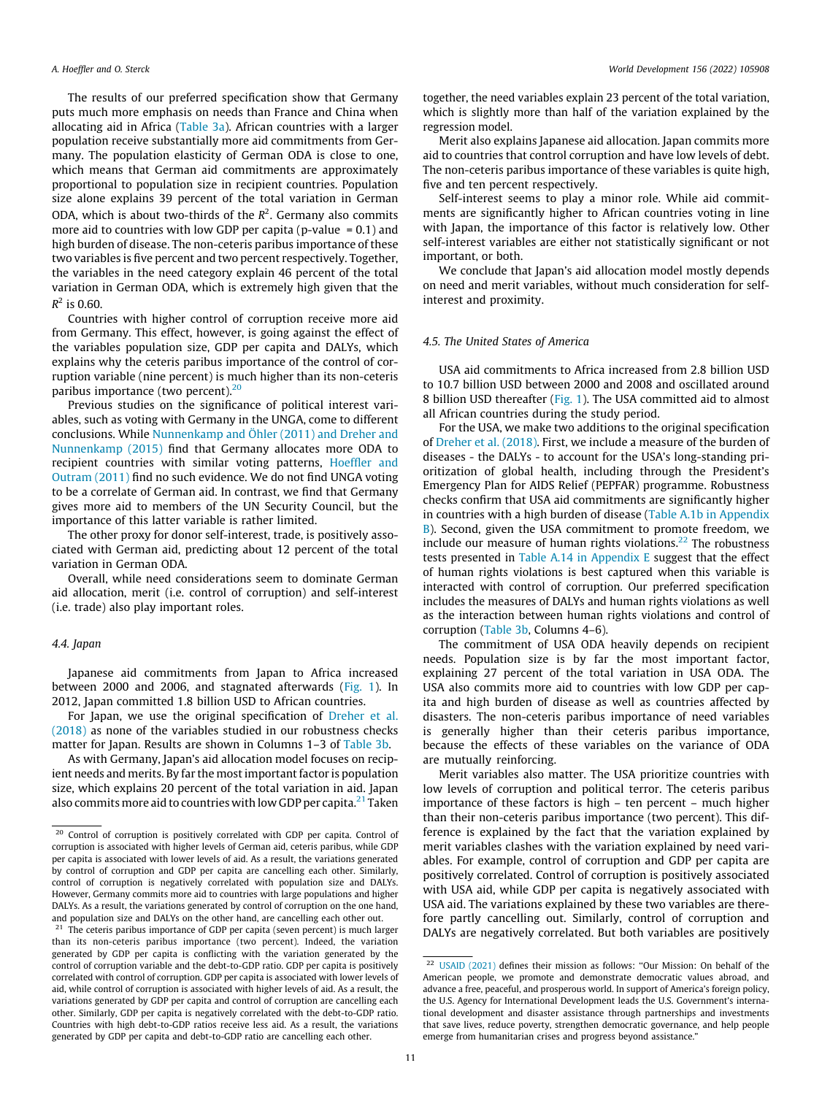The results of our preferred specification show that Germany puts much more emphasis on needs than France and China when allocating aid in Africa ([Table 3a\)](#page-8-0). African countries with a larger population receive substantially more aid commitments from Germany. The population elasticity of German ODA is close to one, which means that German aid commitments are approximately proportional to population size in recipient countries. Population size alone explains 39 percent of the total variation in German ODA, which is about two-thirds of the  $R^2$ . Germany also commits more aid to countries with low GDP per capita (p-value  $= 0.1$ ) and high burden of disease. The non-ceteris paribus importance of these two variables is five percent and two percent respectively. Together, the variables in the need category explain 46 percent of the total variation in German ODA, which is extremely high given that the  $R^2$  is 0.60.

Countries with higher control of corruption receive more aid from Germany. This effect, however, is going against the effect of the variables population size, GDP per capita and DALYs, which explains why the ceteris paribus importance of the control of corruption variable (nine percent) is much higher than its non-ceteris paribus importance (two percent).<sup>20</sup>

Previous studies on the significance of political interest variables, such as voting with Germany in the UNGA, come to different conclusions. While [Nunnenkamp and Öhler \(2011\) and Dreher and](#page-15-0) [Nunnenkamp \(2015\)](#page-15-0) find that Germany allocates more ODA to recipient countries with similar voting patterns, [Hoeffler and](#page-15-0) [Outram \(2011\)](#page-15-0) find no such evidence. We do not find UNGA voting to be a correlate of German aid. In contrast, we find that Germany gives more aid to members of the UN Security Council, but the importance of this latter variable is rather limited.

The other proxy for donor self-interest, trade, is positively associated with German aid, predicting about 12 percent of the total variation in German ODA.

Overall, while need considerations seem to dominate German aid allocation, merit (i.e. control of corruption) and self-interest (i.e. trade) also play important roles.

#### 4.4. Japan

Japanese aid commitments from Japan to Africa increased between 2000 and 2006, and stagnated afterwards ([Fig. 1\)](#page-3-0). In 2012, Japan committed 1.8 billion USD to African countries.

For Japan, we use the original specification of [Dreher et al.](#page-14-0) [\(2018\)](#page-14-0) as none of the variables studied in our robustness checks matter for Japan. Results are shown in Columns 1-3 of [Table 3b.](#page-9-0)

As with Germany, Japan's aid allocation model focuses on recipient needs and merits. By far the most important factor is population size, which explains 20 percent of the total variation in aid. Japan also commits more aid to countries with low GDP per capita.<sup>21</sup> Taken

together, the need variables explain 23 percent of the total variation, which is slightly more than half of the variation explained by the regression model.

Merit also explains Japanese aid allocation. Japan commits more aid to countries that control corruption and have low levels of debt. The non-ceteris paribus importance of these variables is quite high, five and ten percent respectively.

Self-interest seems to play a minor role. While aid commitments are significantly higher to African countries voting in line with Japan, the importance of this factor is relatively low. Other self-interest variables are either not statistically significant or not important, or both.

We conclude that Japan's aid allocation model mostly depends on need and merit variables, without much consideration for selfinterest and proximity.

# 4.5. The United States of America

USA aid commitments to Africa increased from 2.8 billion USD to 10.7 billion USD between 2000 and 2008 and oscillated around 8 billion USD thereafter [\(Fig. 1](#page-3-0)). The USA committed aid to almost all African countries during the study period.

For the USA, we make two additions to the original specification of [Dreher et al. \(2018\)](#page-14-0). First, we include a measure of the burden of diseases - the DALYs - to account for the USA's long-standing prioritization of global health, including through the President's Emergency Plan for AIDS Relief (PEPFAR) programme. Robustness checks confirm that USA aid commitments are significantly higher in countries with a high burden of disease (Table A.1b in Appendix B). Second, given the USA commitment to promote freedom, we include our measure of human rights violations.<sup>22</sup> The robustness tests presented in Table A.14 in Appendix E suggest that the effect of human rights violations is best captured when this variable is interacted with control of corruption. Our preferred specification includes the measures of DALYs and human rights violations as well as the interaction between human rights violations and control of corruption [\(Table 3b,](#page-9-0) Columns 4–6).

The commitment of USA ODA heavily depends on recipient needs. Population size is by far the most important factor, explaining 27 percent of the total variation in USA ODA. The USA also commits more aid to countries with low GDP per capita and high burden of disease as well as countries affected by disasters. The non-ceteris paribus importance of need variables is generally higher than their ceteris paribus importance, because the effects of these variables on the variance of ODA are mutually reinforcing.

Merit variables also matter. The USA prioritize countries with low levels of corruption and political terror. The ceteris paribus importance of these factors is high – ten percent – much higher than their non-ceteris paribus importance (two percent). This difference is explained by the fact that the variation explained by merit variables clashes with the variation explained by need variables. For example, control of corruption and GDP per capita are positively correlated. Control of corruption is positively associated with USA aid, while GDP per capita is negatively associated with USA aid. The variations explained by these two variables are therefore partly cancelling out. Similarly, control of corruption and DALYs are negatively correlated. But both variables are positively

<sup>20</sup> Control of corruption is positively correlated with GDP per capita. Control of corruption is associated with higher levels of German aid, ceteris paribus, while GDP per capita is associated with lower levels of aid. As a result, the variations generated by control of corruption and GDP per capita are cancelling each other. Similarly, control of corruption is negatively correlated with population size and DALYs. However, Germany commits more aid to countries with large populations and higher DALYs. As a result, the variations generated by control of corruption on the one hand, and population size and DALYs on the other hand, are cancelling each other out.

 $21$  The ceteris paribus importance of GDP per capita (seven percent) is much larger than its non-ceteris paribus importance (two percent). Indeed, the variation generated by GDP per capita is conflicting with the variation generated by the control of corruption variable and the debt-to-GDP ratio. GDP per capita is positively correlated with control of corruption. GDP per capita is associated with lower levels of aid, while control of corruption is associated with higher levels of aid. As a result, the variations generated by GDP per capita and control of corruption are cancelling each other. Similarly, GDP per capita is negatively correlated with the debt-to-GDP ratio. Countries with high debt-to-GDP ratios receive less aid. As a result, the variations generated by GDP per capita and debt-to-GDP ratio are cancelling each other.

<sup>&</sup>lt;sup>22</sup> [USAID \(2021\)](#page-15-0) defines their mission as follows: "Our Mission: On behalf of the American people, we promote and demonstrate democratic values abroad, and advance a free, peaceful, and prosperous world. In support of America's foreign policy, the U.S. Agency for International Development leads the U.S. Government's international development and disaster assistance through partnerships and investments that save lives, reduce poverty, strengthen democratic governance, and help people emerge from humanitarian crises and progress beyond assistance."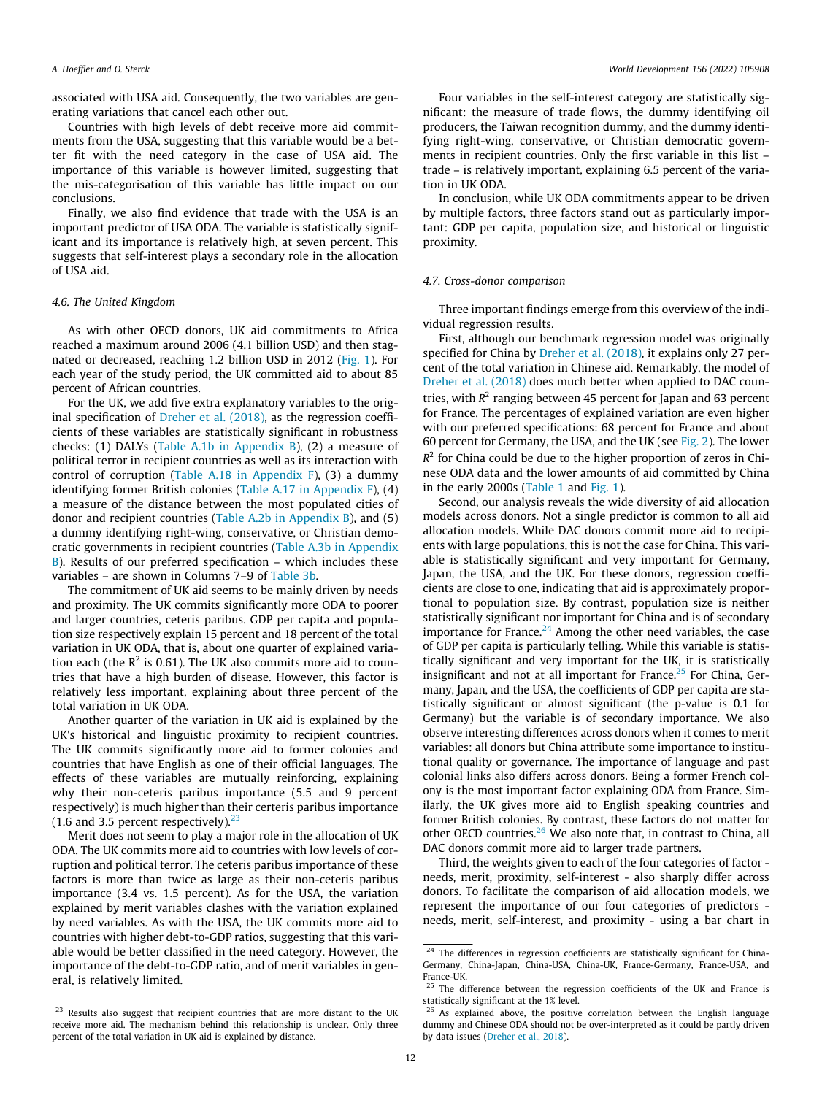associated with USA aid. Consequently, the two variables are generating variations that cancel each other out.

Countries with high levels of debt receive more aid commitments from the USA, suggesting that this variable would be a better fit with the need category in the case of USA aid. The importance of this variable is however limited, suggesting that the mis-categorisation of this variable has little impact on our conclusions.

Finally, we also find evidence that trade with the USA is an important predictor of USA ODA. The variable is statistically significant and its importance is relatively high, at seven percent. This suggests that self-interest plays a secondary role in the allocation of USA aid.

# 4.6. The United Kingdom

As with other OECD donors, UK aid commitments to Africa reached a maximum around 2006 (4.1 billion USD) and then stagnated or decreased, reaching 1.2 billion USD in 2012 ([Fig. 1\)](#page-3-0). For each year of the study period, the UK committed aid to about 85 percent of African countries.

For the UK, we add five extra explanatory variables to the original specification of [Dreher et al. \(2018\),](#page-14-0) as the regression coefficients of these variables are statistically significant in robustness checks: (1) DALYs (Table A.1b in Appendix B), (2) a measure of political terror in recipient countries as well as its interaction with control of corruption (Table A.18 in Appendix F),  $(3)$  a dummy identifying former British colonies (Table A.17 in Appendix F), (4) a measure of the distance between the most populated cities of donor and recipient countries (Table A.2b in Appendix B), and (5) a dummy identifying right-wing, conservative, or Christian democratic governments in recipient countries (Table A.3b in Appendix  $B$ ). Results of our preferred specification – which includes these variables – are shown in Columns 7–9 of [Table 3b.](#page-9-0)

The commitment of UK aid seems to be mainly driven by needs and proximity. The UK commits significantly more ODA to poorer and larger countries, ceteris paribus. GDP per capita and population size respectively explain 15 percent and 18 percent of the total variation in UK ODA, that is, about one quarter of explained variation each (the  $R^2$  is 0.61). The UK also commits more aid to countries that have a high burden of disease. However, this factor is relatively less important, explaining about three percent of the total variation in UK ODA.

Another quarter of the variation in UK aid is explained by the UK's historical and linguistic proximity to recipient countries. The UK commits significantly more aid to former colonies and countries that have English as one of their official languages. The effects of these variables are mutually reinforcing, explaining why their non-ceteris paribus importance (5.5 and 9 percent respectively) is much higher than their certeris paribus importance (1.6 and 3.5 percent respectively). $23$ 

Merit does not seem to play a major role in the allocation of UK ODA. The UK commits more aid to countries with low levels of corruption and political terror. The ceteris paribus importance of these factors is more than twice as large as their non-ceteris paribus importance (3.4 vs. 1.5 percent). As for the USA, the variation explained by merit variables clashes with the variation explained by need variables. As with the USA, the UK commits more aid to countries with higher debt-to-GDP ratios, suggesting that this variable would be better classified in the need category. However, the importance of the debt-to-GDP ratio, and of merit variables in general, is relatively limited.

Four variables in the self-interest category are statistically significant: the measure of trade flows, the dummy identifying oil producers, the Taiwan recognition dummy, and the dummy identifying right-wing, conservative, or Christian democratic governments in recipient countries. Only the first variable in this list – trade – is relatively important, explaining 6.5 percent of the variation in UK ODA.

In conclusion, while UK ODA commitments appear to be driven by multiple factors, three factors stand out as particularly important: GDP per capita, population size, and historical or linguistic proximity.

## 4.7. Cross-donor comparison

Three important findings emerge from this overview of the individual regression results.

First, although our benchmark regression model was originally specified for China by [Dreher et al. \(2018\)](#page-14-0), it explains only 27 percent of the total variation in Chinese aid. Remarkably, the model of [Dreher et al. \(2018\)](#page-14-0) does much better when applied to DAC countries, with  $R^2$  ranging between 45 percent for Japan and 63 percent for France. The percentages of explained variation are even higher with our preferred specifications: 68 percent for France and about 60 percent for Germany, the USA, and the UK (see [Fig. 2](#page-12-0)). The lower  $R^2$  for China could be due to the higher proportion of zeros in Chinese ODA data and the lower amounts of aid committed by China in the early 2000s [\(Table 1](#page-4-0) and [Fig. 1\)](#page-3-0).

Second, our analysis reveals the wide diversity of aid allocation models across donors. Not a single predictor is common to all aid allocation models. While DAC donors commit more aid to recipients with large populations, this is not the case for China. This variable is statistically significant and very important for Germany, Japan, the USA, and the UK. For these donors, regression coefficients are close to one, indicating that aid is approximately proportional to population size. By contrast, population size is neither statistically significant nor important for China and is of secondary importance for France. $24$  Among the other need variables, the case of GDP per capita is particularly telling. While this variable is statistically significant and very important for the UK, it is statistically insignificant and not at all important for France.<sup>25</sup> For China, Germany, Japan, and the USA, the coefficients of GDP per capita are statistically significant or almost significant (the p-value is 0.1 for Germany) but the variable is of secondary importance. We also observe interesting differences across donors when it comes to merit variables: all donors but China attribute some importance to institutional quality or governance. The importance of language and past colonial links also differs across donors. Being a former French colony is the most important factor explaining ODA from France. Similarly, the UK gives more aid to English speaking countries and former British colonies. By contrast, these factors do not matter for other OECD countries.<sup>26</sup> We also note that, in contrast to China, all DAC donors commit more aid to larger trade partners.

Third, the weights given to each of the four categories of factor needs, merit, proximity, self-interest - also sharply differ across donors. To facilitate the comparison of aid allocation models, we represent the importance of our four categories of predictors needs, merit, self-interest, and proximity - using a bar chart in

<sup>&</sup>lt;sup>24</sup> The differences in regression coefficients are statistically significant for China-Germany, China-Japan, China-USA, China-UK, France-Germany, France-USA, and France-UK.

 $25$  The difference between the regression coefficients of the UK and France is statistically significant at the 1% level.

<sup>&</sup>lt;sup>23</sup> Results also suggest that recipient countries that are more distant to the UK receive more aid. The mechanism behind this relationship is unclear. Only three percent of the total variation in UK aid is explained by distance.

 $26$  As explained above, the positive correlation between the English language dummy and Chinese ODA should not be over-interpreted as it could be partly driven by data issues [\(Dreher et al., 2018\)](#page-14-0).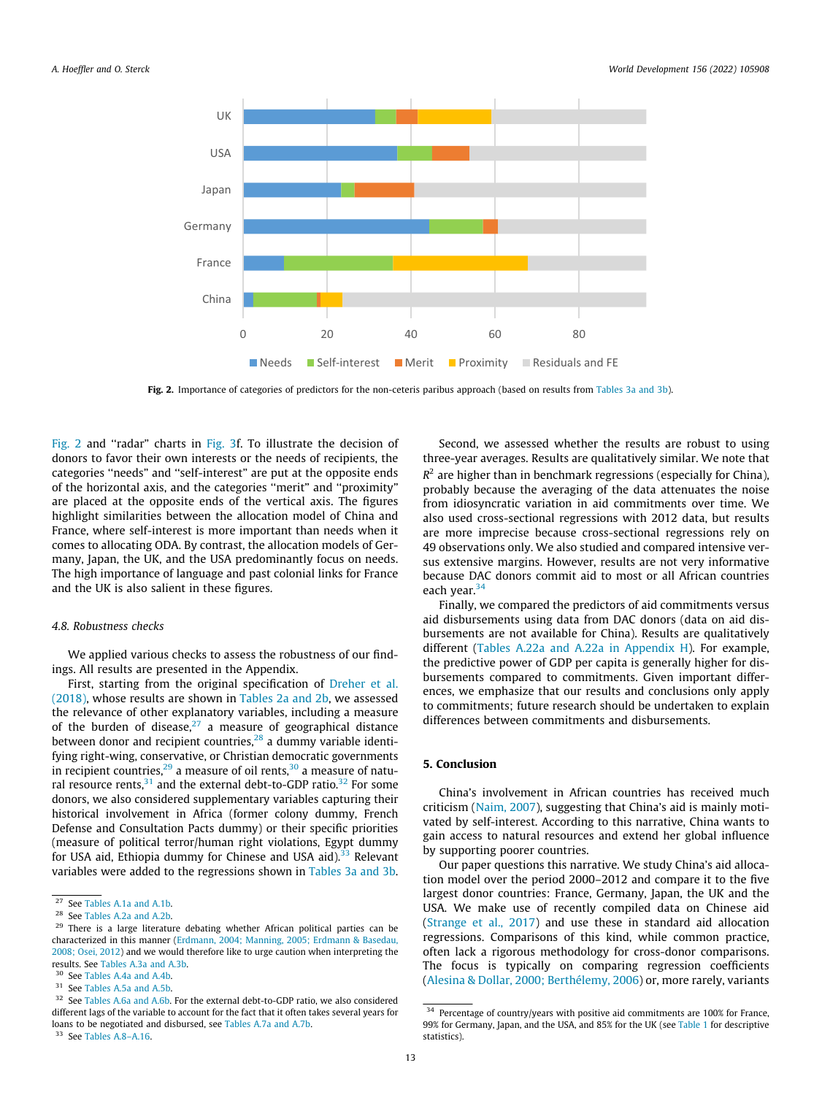<span id="page-12-0"></span>

Fig. 2. Importance of categories of predictors for the non-ceteris paribus approach (based on results from [Tables 3a and 3b](#page-8-0)).

Fig. 2 and "radar" charts in [Fig. 3](#page-13-0)f. To illustrate the decision of donors to favor their own interests or the needs of recipients, the categories ''needs" and ''self-interest" are put at the opposite ends of the horizontal axis, and the categories ''merit" and ''proximity" are placed at the opposite ends of the vertical axis. The figures highlight similarities between the allocation model of China and France, where self-interest is more important than needs when it comes to allocating ODA. By contrast, the allocation models of Germany, Japan, the UK, and the USA predominantly focus on needs. The high importance of language and past colonial links for France and the UK is also salient in these figures.

## 4.8. Robustness checks

We applied various checks to assess the robustness of our findings. All results are presented in the Appendix.

First, starting from the original specification of [Dreher et al.](#page-14-0) [\(2018\),](#page-14-0) whose results are shown in [Tables 2a and 2b](#page-7-0), we assessed the relevance of other explanatory variables, including a measure of the burden of disease, $27$  a measure of geographical distance between donor and recipient countries, $^{28}$  a dummy variable identifying right-wing, conservative, or Christian democratic governments in recipient countries,  $29$  a measure of oil rents,  $30$  a measure of natural resource rents, $31$  and the external debt-to-GDP ratio. $32$  For some donors, we also considered supplementary variables capturing their historical involvement in Africa (former colony dummy, French Defense and Consultation Pacts dummy) or their specific priorities (measure of political terror/human right violations, Egypt dummy for USA aid, Ethiopia dummy for Chinese and USA aid).<sup>33</sup> Relevant variables were added to the regressions shown in [Tables 3a and 3b.](#page-8-0)

<sup>33</sup> See Tables A.8–A.16.

Second, we assessed whether the results are robust to using three-year averages. Results are qualitatively similar. We note that  $R^2$  are higher than in benchmark regressions (especially for China), probably because the averaging of the data attenuates the noise from idiosyncratic variation in aid commitments over time. We also used cross-sectional regressions with 2012 data, but results are more imprecise because cross-sectional regressions rely on 49 observations only. We also studied and compared intensive versus extensive margins. However, results are not very informative because DAC donors commit aid to most or all African countries each year.<sup>34</sup>

Finally, we compared the predictors of aid commitments versus aid disbursements using data from DAC donors (data on aid disbursements are not available for China). Results are qualitatively different (Tables A.22a and A.22a in Appendix H). For example, the predictive power of GDP per capita is generally higher for disbursements compared to commitments. Given important differences, we emphasize that our results and conclusions only apply to commitments; future research should be undertaken to explain differences between commitments and disbursements.

# 5. Conclusion

China's involvement in African countries has received much criticism ([Naim, 2007](#page-15-0)), suggesting that China's aid is mainly motivated by self-interest. According to this narrative, China wants to gain access to natural resources and extend her global influence by supporting poorer countries.

Our paper questions this narrative. We study China's aid allocation model over the period 2000–2012 and compare it to the five largest donor countries: France, Germany, Japan, the UK and the USA. We make use of recently compiled data on Chinese aid ([Strange et al., 2017](#page-15-0)) and use these in standard aid allocation regressions. Comparisons of this kind, while common practice, often lack a rigorous methodology for cross-donor comparisons. The focus is typically on comparing regression coefficients ([Alesina & Dollar, 2000; Berthélemy, 2006](#page-14-0)) or, more rarely, variants

<sup>27</sup> See Tables A.1a and A.1b.

<sup>28</sup> See Tables A.2a and A.2b.

<sup>&</sup>lt;sup>29</sup> There is a large literature debating whether African political parties can be characterized in this manner [\(Erdmann, 2004; Manning, 2005; Erdmann & Basedau,](#page-14-0) [2008; Osei, 2012](#page-14-0)) and we would therefore like to urge caution when interpreting the results. See Tables A.3a and A.3b.

<sup>&</sup>lt;sup>30</sup> See Tables A.4a and A.4b.

<sup>31</sup> See Tables A.5a and A.5b.

<sup>&</sup>lt;sup>32</sup> See Tables A.6a and A.6b. For the external debt-to-GDP ratio, we also considered different lags of the variable to account for the fact that it often takes several years for loans to be negotiated and disbursed, see Tables A.7a and A.7b.

 $^{34}$  Percentage of country/years with positive aid commitments are 100% for France, 99% for Germany, Japan, and the USA, and 85% for the UK (see [Table 1](#page-4-0) for descriptive statistics).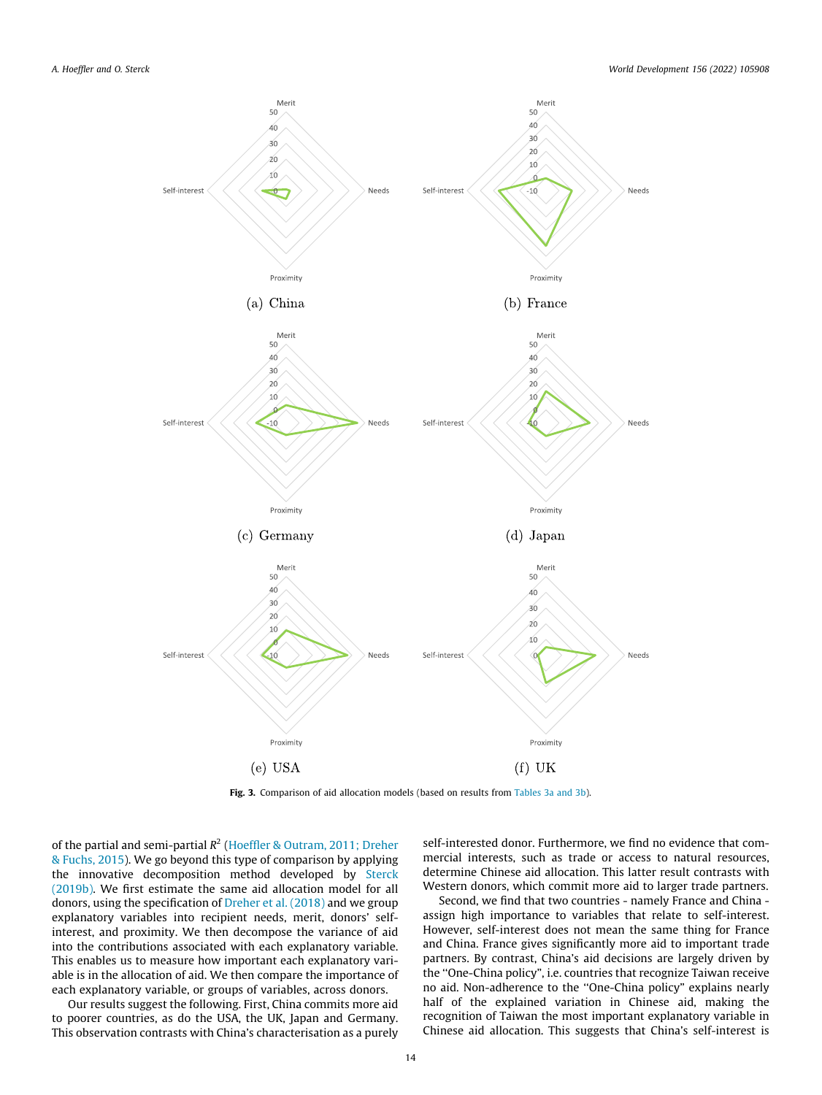<span id="page-13-0"></span>

Fig. 3. Comparison of aid allocation models (based on results from [Tables 3a and 3b\)](#page-8-0).

of the partial and semi-partial  $R^2$  ([Hoeffler & Outram, 2011; Dreher](#page-15-0) [& Fuchs, 2015](#page-15-0)). We go beyond this type of comparison by applying the innovative decomposition method developed by [Sterck](#page-15-0) [\(2019b\)](#page-15-0). We first estimate the same aid allocation model for all donors, using the specification of [Dreher et al. \(2018\)](#page-14-0) and we group explanatory variables into recipient needs, merit, donors' selfinterest, and proximity. We then decompose the variance of aid into the contributions associated with each explanatory variable. This enables us to measure how important each explanatory variable is in the allocation of aid. We then compare the importance of each explanatory variable, or groups of variables, across donors.

Our results suggest the following. First, China commits more aid to poorer countries, as do the USA, the UK, Japan and Germany. This observation contrasts with China's characterisation as a purely

self-interested donor. Furthermore, we find no evidence that commercial interests, such as trade or access to natural resources, determine Chinese aid allocation. This latter result contrasts with Western donors, which commit more aid to larger trade partners.

Second, we find that two countries - namely France and China assign high importance to variables that relate to self-interest. However, self-interest does not mean the same thing for France and China. France gives significantly more aid to important trade partners. By contrast, China's aid decisions are largely driven by the ''One-China policy", i.e. countries that recognize Taiwan receive no aid. Non-adherence to the ''One-China policy" explains nearly half of the explained variation in Chinese aid, making the recognition of Taiwan the most important explanatory variable in Chinese aid allocation. This suggests that China's self-interest is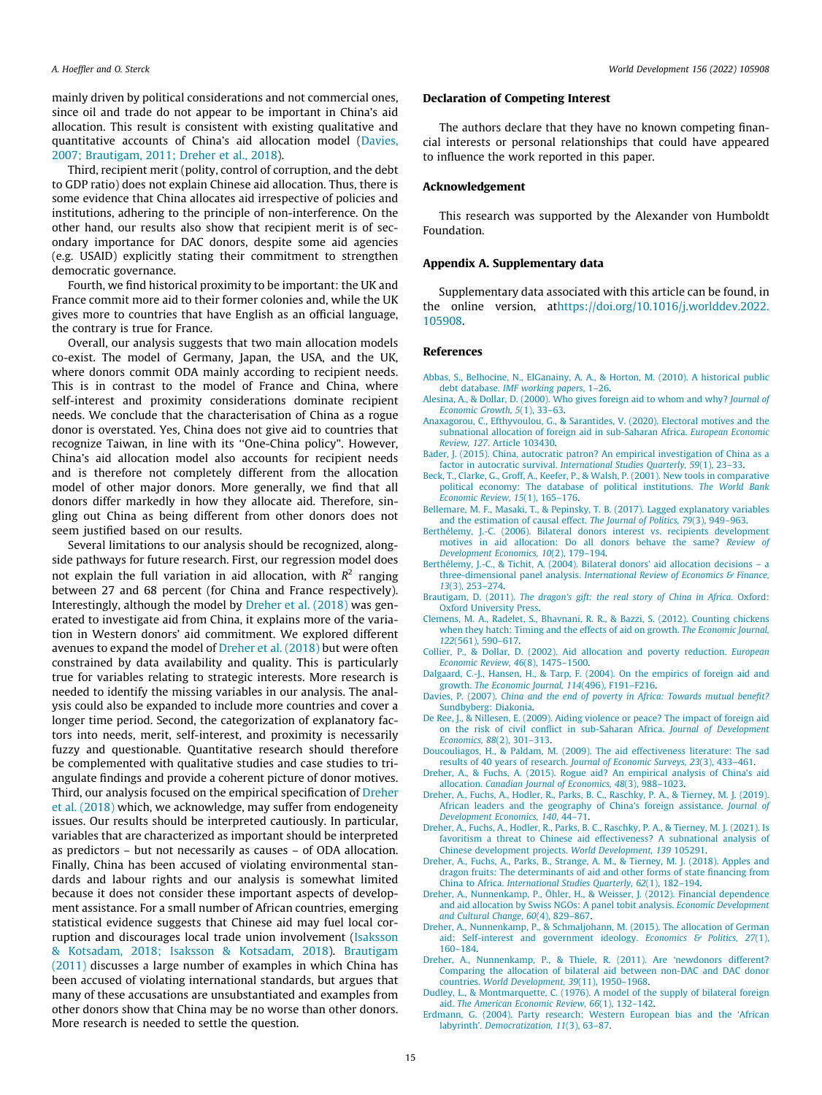<span id="page-14-0"></span>mainly driven by political considerations and not commercial ones, since oil and trade do not appear to be important in China's aid allocation. This result is consistent with existing qualitative and quantitative accounts of China's aid allocation model (Davies, 2007; Brautigam, 2011; Dreher et al., 2018).

Third, recipient merit (polity, control of corruption, and the debt to GDP ratio) does not explain Chinese aid allocation. Thus, there is some evidence that China allocates aid irrespective of policies and institutions, adhering to the principle of non-interference. On the other hand, our results also show that recipient merit is of secondary importance for DAC donors, despite some aid agencies (e.g. USAID) explicitly stating their commitment to strengthen democratic governance.

Fourth, we find historical proximity to be important: the UK and France commit more aid to their former colonies and, while the UK gives more to countries that have English as an official language, the contrary is true for France.

Overall, our analysis suggests that two main allocation models co-exist. The model of Germany, Japan, the USA, and the UK, where donors commit ODA mainly according to recipient needs. This is in contrast to the model of France and China, where self-interest and proximity considerations dominate recipient needs. We conclude that the characterisation of China as a rogue donor is overstated. Yes, China does not give aid to countries that recognize Taiwan, in line with its ''One-China policy". However, China's aid allocation model also accounts for recipient needs and is therefore not completely different from the allocation model of other major donors. More generally, we find that all donors differ markedly in how they allocate aid. Therefore, singling out China as being different from other donors does not seem justified based on our results.

Several limitations to our analysis should be recognized, alongside pathways for future research. First, our regression model does not explain the full variation in aid allocation, with  $R^2$  ranging between 27 and 68 percent (for China and France respectively). Interestingly, although the model by Dreher et al. (2018) was generated to investigate aid from China, it explains more of the variation in Western donors' aid commitment. We explored different avenues to expand the model of Dreher et al. (2018) but were often constrained by data availability and quality. This is particularly true for variables relating to strategic interests. More research is needed to identify the missing variables in our analysis. The analysis could also be expanded to include more countries and cover a longer time period. Second, the categorization of explanatory factors into needs, merit, self-interest, and proximity is necessarily fuzzy and questionable. Quantitative research should therefore be complemented with qualitative studies and case studies to triangulate findings and provide a coherent picture of donor motives. Third, our analysis focused on the empirical specification of Dreher et al. (2018) which, we acknowledge, may suffer from endogeneity issues. Our results should be interpreted cautiously. In particular, variables that are characterized as important should be interpreted as predictors – but not necessarily as causes – of ODA allocation. Finally, China has been accused of violating environmental standards and labour rights and our analysis is somewhat limited because it does not consider these important aspects of development assistance. For a small number of African countries, emerging statistical evidence suggests that Chinese aid may fuel local corruption and discourages local trade union involvement ([Isaksson](#page-15-0) [& Kotsadam, 2018; Isaksson & Kotsadam, 2018](#page-15-0)). Brautigam (2011) discusses a large number of examples in which China has been accused of violating international standards, but argues that many of these accusations are unsubstantiated and examples from other donors show that China may be no worse than other donors. More research is needed to settle the question.

# Declaration of Competing Interest

The authors declare that they have no known competing financial interests or personal relationships that could have appeared to influence the work reported in this paper.

# Acknowledgement

This research was supported by the Alexander von Humboldt Foundation.

# Appendix A. Supplementary data

Supplementary data associated with this article can be found, in the online version, a[thttps://doi.org/10.1016/j.worlddev.2022.](https://doi.org/10.1016/j.worlddev.2022.105908) [105908.](https://doi.org/10.1016/j.worlddev.2022.105908)

#### References

- [Abbas, S., Belhocine, N., ElGanainy, A. A., & Horton, M. \(2010\). A historical public](http://refhub.elsevier.com/S0305-750X(22)00098-5/h0005) debt database. [IMF working papers](http://refhub.elsevier.com/S0305-750X(22)00098-5/h0005), 1–26.
- [Alesina, A., & Dollar, D. \(2000\). Who gives foreign aid to whom and why?](http://refhub.elsevier.com/S0305-750X(22)00098-5/h0010) Journal of [Economic Growth, 5](http://refhub.elsevier.com/S0305-750X(22)00098-5/h0010)(1), 33–63.
- [Anaxagorou, C., Efthyvoulou, G., & Sarantides, V. \(2020\). Electoral motives and the](http://refhub.elsevier.com/S0305-750X(22)00098-5/h0015) [subnational allocation of foreign aid in sub-Saharan Africa.](http://refhub.elsevier.com/S0305-750X(22)00098-5/h0015) European Economic Review, 127[. Article 103430](http://refhub.elsevier.com/S0305-750X(22)00098-5/h0015).
- [Bader, J. \(2015\). China, autocratic patron? An empirical investigation of China as a](http://refhub.elsevier.com/S0305-750X(22)00098-5/h0020) factor in autocratic survival. [International Studies Quarterly, 59](http://refhub.elsevier.com/S0305-750X(22)00098-5/h0020)(1), 23–33.
- [Beck, T., Clarke, G., Groff, A., Keefer, P., & Walsh, P. \(2001\). New tools in comparative](http://refhub.elsevier.com/S0305-750X(22)00098-5/h0025) [political economy: The database of political institutions.](http://refhub.elsevier.com/S0305-750X(22)00098-5/h0025) The World Bank [Economic Review, 15](http://refhub.elsevier.com/S0305-750X(22)00098-5/h0025)(1), 165–176.
- [Bellemare, M. F., Masaki, T., & Pepinsky, T. B. \(2017\). Lagged explanatory variables](http://refhub.elsevier.com/S0305-750X(22)00098-5/h0030) [and the estimation of causal effect.](http://refhub.elsevier.com/S0305-750X(22)00098-5/h0030) The Journal of Politics, 79(3), 949–963.
- [Berthélemy, J.-C. \(2006\). Bilateral donors interest vs. recipients development](http://refhub.elsevier.com/S0305-750X(22)00098-5/h0035) [motives in aid allocation: Do all donors behave the same?](http://refhub.elsevier.com/S0305-750X(22)00098-5/h0035) Review of [Development Economics, 10](http://refhub.elsevier.com/S0305-750X(22)00098-5/h0035)(2), 179–194.
- [Berthélemy, J.-C., & Tichit, A. \(2004\). Bilateral donors' aid allocation decisions a](http://refhub.elsevier.com/S0305-750X(22)00098-5/h0040) three-dimensional panel analysis. [International Review of Economics & Finance,](http://refhub.elsevier.com/S0305-750X(22)00098-5/h0040) 13[\(3\), 253–274.](http://refhub.elsevier.com/S0305-750X(22)00098-5/h0040)
- Brautigam, D. (2011). [The dragon's gift: the real story of China in Africa](http://refhub.elsevier.com/S0305-750X(22)00098-5/h0045). Oxford: [Oxford University Press](http://refhub.elsevier.com/S0305-750X(22)00098-5/h0045).
- [Clemens, M. A., Radelet, S., Bhavnani, R. R., & Bazzi, S. \(2012\). Counting chickens](http://refhub.elsevier.com/S0305-750X(22)00098-5/h0050) [when they hatch: Timing and the effects of aid on growth.](http://refhub.elsevier.com/S0305-750X(22)00098-5/h0050) The Economic Journal, 122[\(561\), 590–617.](http://refhub.elsevier.com/S0305-750X(22)00098-5/h0050)
- [Collier, P., & Dollar, D. \(2002\). Aid allocation and poverty reduction.](http://refhub.elsevier.com/S0305-750X(22)00098-5/h0055) European [Economic Review, 46](http://refhub.elsevier.com/S0305-750X(22)00098-5/h0055)(8), 1475–1500.
- [Dalgaard, C.-J., Hansen, H., & Tarp, F. \(2004\). On the empirics of foreign aid and](http://refhub.elsevier.com/S0305-750X(22)00098-5/h0060) growth. [The Economic Journal, 114](http://refhub.elsevier.com/S0305-750X(22)00098-5/h0060)(496), F191–F216.
- Davies, P. (2007). [China and the end of poverty in Africa: Towards mutual benefit?](http://refhub.elsevier.com/S0305-750X(22)00098-5/h0065) [Sundbyberg: Diakonia.](http://refhub.elsevier.com/S0305-750X(22)00098-5/h0065)
- [De Ree, J., & Nillesen, E. \(2009\). Aiding violence or peace? The impact of foreign aid](http://refhub.elsevier.com/S0305-750X(22)00098-5/h0070) [on the risk of civil conflict in sub-Saharan Africa.](http://refhub.elsevier.com/S0305-750X(22)00098-5/h0070) Journal of Development [Economics, 88](http://refhub.elsevier.com/S0305-750X(22)00098-5/h0070)(2), 301–313.
- [Doucouliagos, H., & Paldam, M. \(2009\). The aid effectiveness literature: The sad](http://refhub.elsevier.com/S0305-750X(22)00098-5/h0075) results of 40 years of research. [Journal of Economic Surveys, 23](http://refhub.elsevier.com/S0305-750X(22)00098-5/h0075)(3), 433–461.
- [Dreher, A., & Fuchs, A. \(2015\). Rogue aid? An empirical analysis of China's aid](http://refhub.elsevier.com/S0305-750X(22)00098-5/h0080) allocation. [Canadian Journal of Economics, 48](http://refhub.elsevier.com/S0305-750X(22)00098-5/h0080)(3), 988–1023.
- [Dreher, A., Fuchs, A., Hodler, R., Parks, B. C., Raschky, P. A., & Tierney, M. J. \(2019\).](http://refhub.elsevier.com/S0305-750X(22)00098-5/h0085) [African leaders and the geography of China's foreign assistance.](http://refhub.elsevier.com/S0305-750X(22)00098-5/h0085) Journal of [Development Economics, 140](http://refhub.elsevier.com/S0305-750X(22)00098-5/h0085), 44–71.
- [Dreher, A., Fuchs, A., Hodler, R., Parks, B. C., Raschky, P. A., & Tierney, M. J. \(2021\). Is](http://refhub.elsevier.com/S0305-750X(22)00098-5/h0090) [favoritism a threat to Chinese aid effectiveness? A subnational analysis of](http://refhub.elsevier.com/S0305-750X(22)00098-5/h0090) [Chinese development projects.](http://refhub.elsevier.com/S0305-750X(22)00098-5/h0090) World Development, 139 105291.
- [Dreher, A., Fuchs, A., Parks, B., Strange, A. M., & Tierney, M. J. \(2018\). Apples and](http://refhub.elsevier.com/S0305-750X(22)00098-5/h0095) [dragon fruits: The determinants of aid and other forms of state financing from](http://refhub.elsevier.com/S0305-750X(22)00098-5/h0095) China to Africa. [International Studies Quarterly, 62](http://refhub.elsevier.com/S0305-750X(22)00098-5/h0095)(1), 182–194.
- [Dreher, A., Nunnenkamp, P., Öhler, H., & Weisser, J. \(2012\). Financial dependence](http://refhub.elsevier.com/S0305-750X(22)00098-5/h0100) [and aid allocation by Swiss NGOs: A panel tobit analysis.](http://refhub.elsevier.com/S0305-750X(22)00098-5/h0100) Economic Development [and Cultural Change, 60](http://refhub.elsevier.com/S0305-750X(22)00098-5/h0100)(4), 829–867.
- [Dreher, A., Nunnenkamp, P., & Schmaljohann, M. \(2015\). The allocation of German](http://refhub.elsevier.com/S0305-750X(22)00098-5/h0105) [aid: Self-interest and government ideology.](http://refhub.elsevier.com/S0305-750X(22)00098-5/h0105) Economics & Politics, 27(1), [160–184](http://refhub.elsevier.com/S0305-750X(22)00098-5/h0105).
- [Dreher, A., Nunnenkamp, P., & Thiele, R. \(2011\). Are 'newdonors different?](http://refhub.elsevier.com/S0305-750X(22)00098-5/h0110) [Comparing the allocation of bilateral aid between non-DAC and DAC donor](http://refhub.elsevier.com/S0305-750X(22)00098-5/h0110) countries. [World Development, 39](http://refhub.elsevier.com/S0305-750X(22)00098-5/h0110)(11), 1950–1968.
- [Dudley, L., & Montmarquette, C. \(1976\). A model of the supply of bilateral foreign](http://refhub.elsevier.com/S0305-750X(22)00098-5/h0115) aid. [The American Economic Review, 66](http://refhub.elsevier.com/S0305-750X(22)00098-5/h0115)(1), 132–142.
- [Erdmann, G. \(2004\). Party research: Western European bias and the 'African](http://refhub.elsevier.com/S0305-750X(22)00098-5/h0120) labyrinth'. [Democratization, 11](http://refhub.elsevier.com/S0305-750X(22)00098-5/h0120)(3), 63–87.